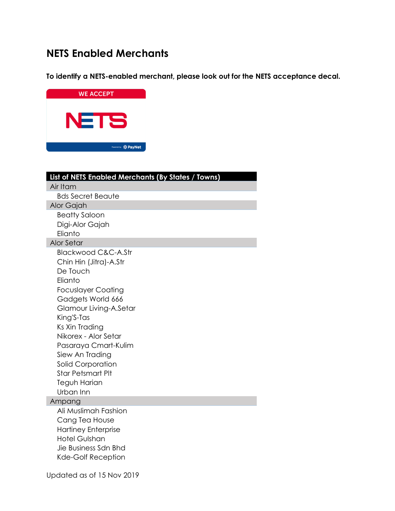# **NETS Enabled Merchants**

**To identify a NETS-enabled merchant, please look out for the NETS acceptance decal.**



| List of NETS Enabled Merchants (By States / Towns) |
|----------------------------------------------------|
| Air Itam                                           |
| <b>Bds Secret Beaute</b>                           |
| Alor Gajah                                         |
| <b>Beatty Saloon</b>                               |
| Digi-Alor Gajah                                    |
| Elianto                                            |
| <b>Alor Setar</b>                                  |
| <b>Blackwood C&amp;C-A.Str</b>                     |
| Chin Hin (Jitra)-A.Str                             |
| De Touch                                           |
| Elianto                                            |
| <b>Focuslayer Coating</b>                          |
| Gadgets World 666                                  |
| Glamour Living-A.Setar                             |
| King'S-Tas                                         |
| Ks Xin Trading                                     |
| Nikorex - Alor Setar                               |
| Pasaraya Cmart-Kulim                               |
| Siew An Trading                                    |
| <b>Solid Corporation</b>                           |
| <b>Star Petsmart Plt</b>                           |
| Teguh Harian<br>Urban Inn                          |
| Ampang                                             |
| Ali Muslimah Fashion                               |
| Cang Tea House                                     |
| <b>Hartiney Enterprise</b>                         |
| <b>Hotel Gulshan</b>                               |
| Jie Business Sdn Bhd                               |
| <b>Kde-Golf Reception</b>                          |
|                                                    |
| Updated as of 15 Nov 2019                          |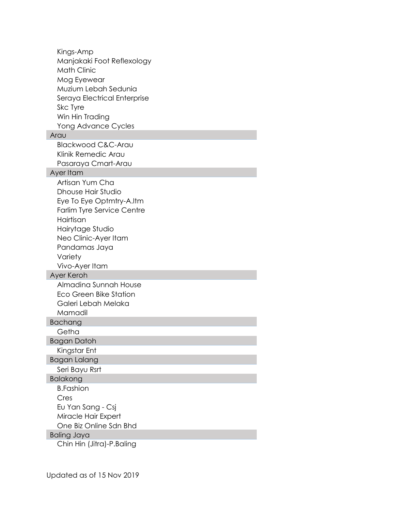| Kings-Amp                                       |
|-------------------------------------------------|
| Manjakaki Foot Reflexology                      |
| <b>Math Clinic</b>                              |
| Mog Eyewear                                     |
| Muzium Lebah Sedunia                            |
| Seraya Electrical Enterprise                    |
| Skc Tyre                                        |
| Win Hin Trading                                 |
| Yong Advance Cycles                             |
| Arau                                            |
| <b>Blackwood C&amp;C-Arau</b>                   |
| Klinik Remedic Arau                             |
| Pasaraya Cmart-Arau                             |
| Ayer Itam                                       |
| Artisan Yum Cha                                 |
| Dhouse Hair Studio                              |
| Eye To Eye Optmtry-A.Itm                        |
| <b>Farlim Tyre Service Centre</b>               |
| Hairtisan                                       |
| Hairytage Studio                                |
| Neo Clinic-Ayer Itam                            |
| Pandamas Jaya                                   |
| Variety                                         |
| Vivo-Ayer Itam                                  |
| Ayer Keroh                                      |
| Almadina Sunnah House                           |
| <b>Eco Green Bike Station</b>                   |
| Galeri Lebah Melaka                             |
| Mamadil                                         |
| <b>Bachang</b>                                  |
| Getha                                           |
| Bagan Datoh                                     |
| Kingstar Ent                                    |
| <b>Bagan Lalang</b>                             |
| Seri Bayu Rsrt                                  |
| <b>Balakong</b>                                 |
| <b>B.Fashion</b>                                |
| Cres                                            |
| Eu Yan Sang - Csj                               |
| Miracle Hair Expert                             |
| One Biz Online Sdn Bhd                          |
| <b>Baling Jaya</b><br>Chin Hin (Jitra)-P.Baling |
|                                                 |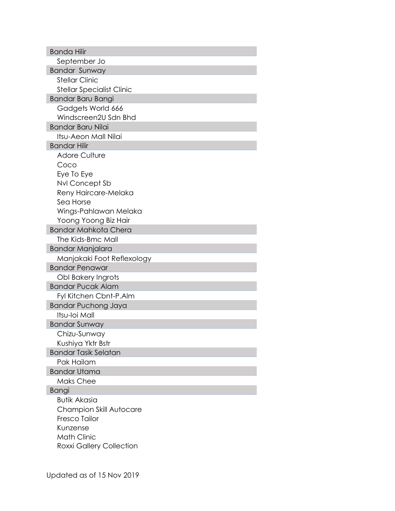| <b>Banda Hilir</b>                               |
|--------------------------------------------------|
| September Jo                                     |
| <b>Bandar Sunway</b>                             |
| <b>Stellar Clinic</b>                            |
| <b>Stellar Specialist Clinic</b>                 |
| <b>Bandar Baru Bangi</b>                         |
| Gadgets World 666                                |
| Windscreen2U Sdn Bhd                             |
| <b>Bandar Baru Nilai</b>                         |
| Itsu-Aeon Mall Nilai                             |
| <b>Bandar Hilir</b>                              |
| <b>Adore Culture</b>                             |
| Coco                                             |
| Eye To Eye                                       |
| Nvl Concept Sb                                   |
| Reny Haircare-Melaka                             |
| Sea Horse                                        |
| Wings-Pahlawan Melaka                            |
| Yoong Yoong Biz Hair                             |
| <b>Bandar Mahkota Chera</b>                      |
| The Kids-Bmc Mall                                |
| <b>Bandar Manjalara</b>                          |
| Manjakaki Foot Reflexology                       |
| <b>Bandar Penawar</b>                            |
| Obl Bakery Ingrots                               |
| <b>Bandar Pucak Alam</b>                         |
| Fyl Kitchen Cbnt-P.Alm                           |
| <b>Bandar Puchong Jaya</b>                       |
| Itsu-Ioi Mall                                    |
| <b>Bandar Sunway</b>                             |
| Chizu-Sunway                                     |
| Kushiya Yktr Bstr<br><b>Bandar Tasik Selatan</b> |
| Pak Hailam                                       |
| <b>Bandar Utama</b>                              |
| <b>Maks Chee</b>                                 |
| <b>Bangi</b>                                     |
| <b>Butik Akasia</b>                              |
| <b>Champion Skill Autocare</b>                   |
| <b>Fresco Tailor</b>                             |
| Kunzense                                         |
| <b>Math Clinic</b>                               |
| <b>Roxxi Gallery Collection</b>                  |
|                                                  |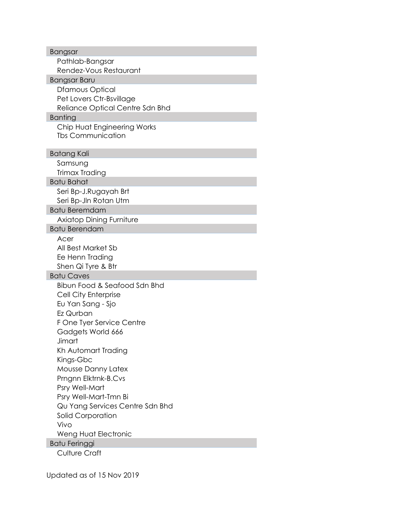| <b>Bangsar</b>                  |
|---------------------------------|
| Pathlab-Bangsar                 |
| Rendez-Vous Restaurant          |
| Bangsar Baru                    |
| Dfamous Optical                 |
| Pet Lovers Ctr-Bsvillage        |
| Reliance Optical Centre Sdn Bhd |
| <b>Banting</b>                  |
| Chip Huat Engineering Works     |
| <b>Tbs Communication</b>        |
|                                 |
| <b>Batang Kali</b>              |
| Samsung                         |
| <b>Trimax Trading</b>           |
| <b>Batu Bahat</b>               |
| Seri Bp-J.Rugayah Brt           |
| Seri Bp-Jln Rotan Utm           |
| <b>Batu Beremdam</b>            |
| <b>Axiatop Dining Furniture</b> |
| <b>Batu Berendam</b>            |
| Acer                            |
| All Best Market Sb              |
| Ee Henn Trading                 |
| Shen Qi Tyre & Btr              |
| <b>Batu Caves</b>               |
| Bibun Food & Seafood Sdn Bhd    |
| Cell City Enterprise            |
| Eu Yan Sang - Sjo               |
| Ez Qurban                       |
| F One Tyer Service Centre       |
| Gadgets World 666               |
| Jimart                          |
| Kh Automart Trading             |
| Kings-Gbc                       |
| <b>Mousse Danny Latex</b>       |
| Prngnn Elktrnk-B.Cvs            |
| Psry Well-Mart                  |
| Psry Well-Mart-Tmn Bi           |
| Qu Yang Services Centre Sdn Bhd |
| Solid Corporation               |
| Vivo                            |
| Weng Huat Electronic            |
| Batu Feringgi                   |
| <b>Culture Craft</b>            |
|                                 |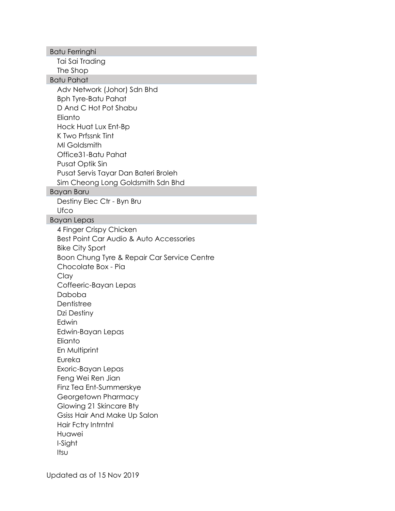Batu Ferringhi Tai Sai Trading The Shop Batu Pahat Adv Network (Johor) Sdn Bhd Bph Tyre-Batu Pahat D And C Hot Pot Shabu Elianto Hock Huat Lux Ent-Bp K Two Prfssnk Tint Ml Goldsmith Office31-Batu Pahat Pusat Optik Sin Pusat Servis Tayar Dan Bateri Broleh Sim Cheong Long Goldsmith Sdn Bhd Bayan Baru Destiny Elec Ctr - Byn Bru **Ufco** Bayan Lepas 4 Finger Crispy Chicken Best Point Car Audio & Auto Accessories Bike City Sport Boon Chung Tyre & Repair Car Service Centre Chocolate Box - Pia Clay Coffeeric-Bayan Lepas Daboba **Dentistree** Dzi Destiny Edwin Edwin-Bayan Lepas **Elianto** En Multiprint Eureka Exoric-Bayan Lepas Feng Wei Ren Jian Finz Tea Ent-Summerskye Georgetown Pharmacy Glowing 21 Skincare Bty Gsiss Hair And Make Up Salon Hair Fctry Intrntnl Huawei I-Sight Itsu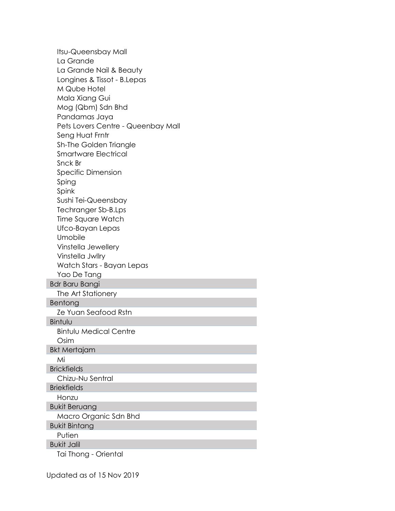Itsu-Queensbay Mall La Grande La Grande Nail & Beauty Longines & Tissot - B.Lepas M Qube Hotel Mala Xiang Gui Mog (Qbm) Sdn Bhd Pandamas Jaya Pets Lovers Centre - Queenbay Mall Seng Huat Frntr Sh-The Golden Triangle Smartware Electrical Snck Br Specific Dimension Sping Spink Sushi Tei-Queensbay Techranger Sb-B.Lps Time Square Watch Ufco-Bayan Lepas Umobile Vinstella Jewellery Vinstella Jwllry Watch Stars - Bayan Lepas Yao De Tang Bdr Baru Bangi The Art Stationery Bentong Ze Yuan Seafood Rstn Bintulu Bintulu Medical Centre Osim Bkt Mertajam Mi **Brickfields** Chizu-Nu Sentral **Briekfields** Honzu Bukit Beruang Macro Organic Sdn Bhd Bukit Bintang Putien Bukit Jalil Tai Thong - Oriental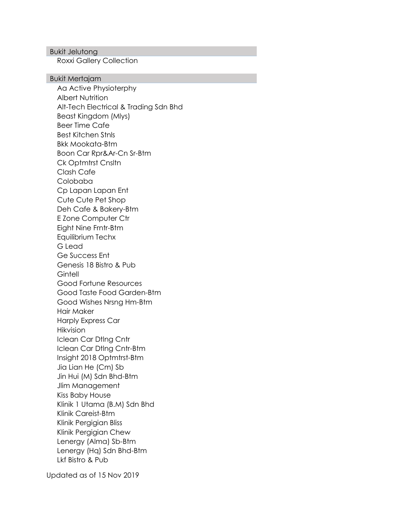## Bukit Jelutong

Roxxi Gallery Collection

#### Bukit Mertajam

Aa Active Physioterphy Albert Nutrition Alt-Tech Electrical & Trading Sdn Bhd Beast Kingdom (Mlys) Beer Time Cafe Best Kitchen Stnls Bkk Mookata-Btm Boon Car Rpr&Ar-Cn Sr-Btm Ck Optmtrst Cnsltn Clash Cafe Colobaba Cp Lapan Lapan Ent Cute Cute Pet Shop Deh Cafe & Bakery-Btm E Zone Computer Ctr Eight Nine Frntr-Btm Equilibrium Techx G Lead Ge Success Ent Genesis 18 Bistro & Pub **Gintell** Good Fortune Resources Good Taste Food Garden-Btm Good Wishes Nrsng Hm-Btm Hair Maker Harply Express Car Hikvision Iclean Car Dtlng Cntr Iclean Car Dtlng Cntr-Btm Insight 2018 Optmtrst-Btm Jia Lian He (Cm) Sb Jin Hui (M) Sdn Bhd-Btm Jlim Management Kiss Baby House Klinik 1 Utama (B.M) Sdn Bhd Klinik Careist-Btm Klinik Pergigian Bliss Klinik Pergigian Chew Lenergy (Alma) Sb-Btm Lenergy (Hq) Sdn Bhd-Btm Lkf Bistro & Pub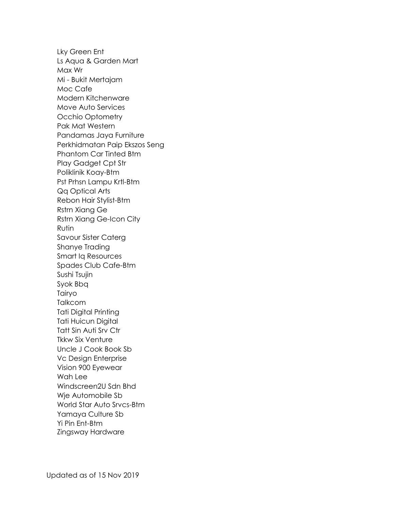Lky Green Ent Ls Aqua & Garden Mart Max Wr Mi - Bukit Mertajam Moc Cafe Modern Kitchenware Move Auto Services Occhio Optometry Pak Mat Western Pandamas Jaya Furniture Perkhidmatan Paip Ekszos Seng Phantom Car Tinted Btm Play Gadget Cpt Str Poliklinik Koay-Btm Pst Prhsn Lampu Krtl-Btm Qq Optical Arts Rebon Hair Stylist-Btm Rstrn Xiang Ge Rstrn Xiang Ge-Icon City Rutin Savour Sister Caterg Shanye Trading Smart Iq Resources Spades Club Cafe-Btm Sushi Tsujin Syok Bbq Tairyo **Talkcom** Tati Digital Printing Tati Huicun Digital Tatt Sin Auti Srv Ctr Tkkw Six Venture Uncle J Cook Book Sb Vc Design Enterprise Vision 900 Eyewear Wah Lee Windscreen2U Sdn Bhd Wje Automobile Sb World Star Auto Srvcs-Btm Yamaya Culture Sb Yi Pin Ent-Btm Zingsway Hardware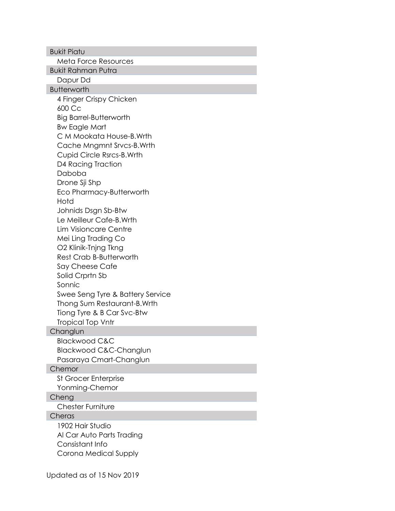Bukit Piatu Meta Force Resources Bukit Rahman Putra Dapur Dd **Butterworth** 4 Finger Crispy Chicken 600 Cc Big Barrel-Butterworth Bw Eagle Mart C M Mookata House-B.Wrth Cache Mngmnt Srvcs-B.Wrth Cupid Circle Rsrcs-B.Wrth D4 Racing Traction Daboba Drone Sji Shp Eco Pharmacy-Butterworth Hotd Johnids Dsgn Sb-Btw Le Meilleur Cafe-B.Wrth Lim Visioncare Centre Mei Ling Trading Co O2 Klinik-Tnjng Tkng Rest Crab B-Butterworth Say Cheese Cafe Solid Crprtn Sb Sonnic Swee Seng Tyre & Battery Service Thong Sum Restaurant-B.Wrth Tiong Tyre & B Car Svc-Btw Tropical Top Vntr **Changlun** Blackwood C&C Blackwood C&C-Changlun Pasaraya Cmart-Changlun **Chemor** St Grocer Enterprise Yonming-Chemor Cheng Chester Furniture **Cheras** 1902 Hair Studio Al Car Auto Parts Trading Consistant Info Corona Medical Supply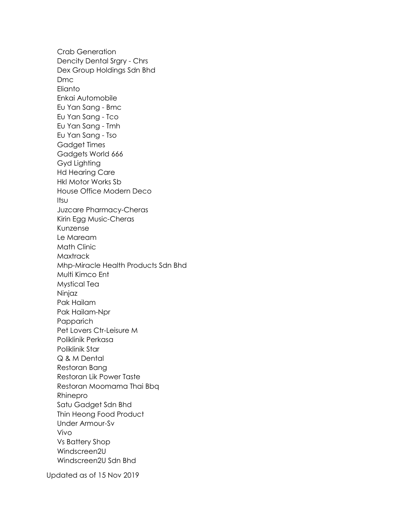Crab Generation Dencity Dental Srgry - Chrs Dex Group Holdings Sdn Bhd Dmc **Elianto** Enkai Automobile Eu Yan Sang - Bmc Eu Yan Sang - Tco Eu Yan Sang - Tmh Eu Yan Sang - Tso Gadget Times Gadgets World 666 Gyd Lighting Hd Hearing Care Hkl Motor Works Sb House Office Modern Deco Itsu Juzcare Pharmacy-Cheras Kirin Egg Music-Cheras Kunzense Le Maream Math Clinic **Maxtrack** Mhp-Miracle Health Products Sdn Bhd Multi Kimco Ent Mystical Tea Ninjaz Pak Hailam Pak Hailam-Npr Papparich Pet Lovers Ctr-Leisure M Poliklinik Perkasa Poliklinik Star Q & M Dental Restoran Bang Restoran Lik Power Taste Restoran Moomama Thai Bbq Rhinepro Satu Gadget Sdn Bhd Thin Heong Food Product Under Armour-Sv Vivo Vs Battery Shop Windscreen2U Windscreen2U Sdn Bhd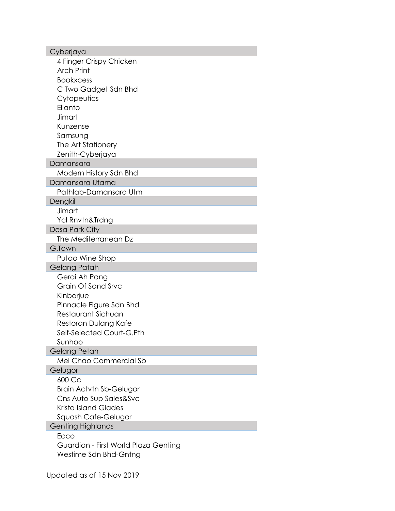| Cyberjaya                            |
|--------------------------------------|
| 4 Finger Crispy Chicken              |
| <b>Arch Print</b>                    |
| <b>Bookxcess</b>                     |
| C Two Gadget Sdn Bhd                 |
| Cytopeutics                          |
| Elianto                              |
| Jimart                               |
| Kunzense                             |
| Samsung                              |
| The Art Stationery                   |
| Zenith-Cyberjaya                     |
| Damansara                            |
| Modern History Sdn Bhd               |
| Damansara Utama                      |
| Pathlab-Damansara Utm                |
| Dengkil                              |
| Jimart                               |
| Ycl Rnvtn&Trdng                      |
| Desa Park City                       |
| The Mediterranean Dz                 |
| G.Town                               |
| Putao Wine Shop                      |
| Gelang Patah                         |
| Gerai Ah Pang                        |
| Grain Of Sand Srvc                   |
| Kinborjue                            |
| Pinnacle Figure Sdn Bhd              |
| Restaurant Sichuan                   |
| Restoran Dulang Kafe                 |
| Self-Selected Court-G.Pth            |
| Sunhoo                               |
| Gelang Petah                         |
| Mei Chao Commercial Sb               |
| Gelugor                              |
| 600 Cc                               |
| <b>Brain Actvtn Sb-Gelugor</b>       |
| Cns Auto Sup Sales&Svc               |
| Krista Island Glades                 |
| Squash Cafe-Gelugor                  |
| <b>Genting Highlands</b>             |
| Ecco                                 |
| Guardian - First World Plaza Genting |
| Westime Sdn Bhd-Gntng                |
|                                      |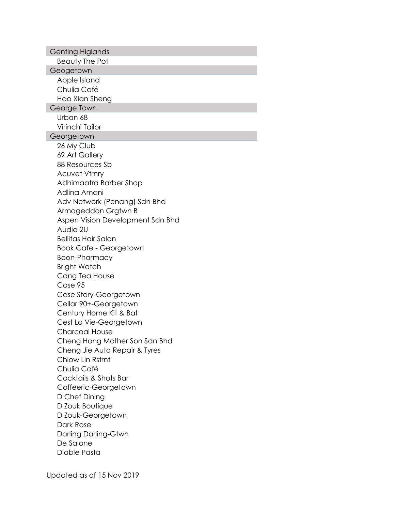| <b>Genting Higlands</b>          |
|----------------------------------|
| Beauty The Pot                   |
| Geogetown                        |
| Apple Island                     |
| Chulia Café                      |
| Hao Xian Sheng                   |
| George Town                      |
| Urban 68                         |
| Virinchi Tailor                  |
| Georgetown                       |
| 26 My Club                       |
| 69 Art Gallery                   |
| 88 Resources Sb                  |
| <b>Acuvet Vtrnry</b>             |
| Adhimaatra Barber Shop           |
| Adlina Amani                     |
| Adv Network (Penang) Sdn Bhd     |
| Armageddon Grgtwn B              |
| Aspen Vision Development Sdn Bhd |
| Audio 2U                         |
| <b>Bellitas Hair Salon</b>       |
| <b>Book Cafe - Georgetown</b>    |
| Boon-Pharmacy                    |
| <b>Bright Watch</b>              |
| Cang Tea House                   |
| Case 95                          |
| Case Story-Georgetown            |
| Cellar 90+-Georgetown            |
| Century Home Kit & Bat           |
| Cest La Vie-Georgetown           |
| Charcoal House                   |
| Cheng Hong Mother Son Sdn Bhd    |
| Cheng Jie Auto Repair & Tyres    |
| Chiow Lin Rstrnt                 |
| Chulia Café                      |
| Cocktails & Shots Bar            |
| Coffeeric-Georgetown             |
| D Chef Dining                    |
| D Zouk Boutique                  |
| D Zouk-Georgetown                |
| Dark Rose                        |
| Darling Darling-Gtwn             |
| De Salone                        |
| Diable Pasta                     |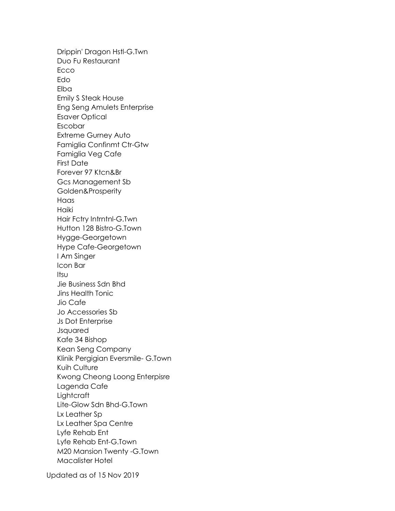Drippin' Dragon Hstl-G.Twn Duo Fu Restaurant **Ecco** Edo **Elba** Emily S Steak House Eng Seng Amulets Enterprise Esaver Optical Escobar Extreme Gurney Auto Famiglia Confinmt Ctr-Gtw Famiglia Veg Cafe First Date Forever 97 Ktcn&Br Gcs Management Sb Golden&Prosperity Haas Haiki Hair Fctry Intrntnl-G.Twn Hutton 128 Bistro-G.Town Hygge-Georgetown Hype Cafe-Georgetown I Am Singer Icon Bar Itsu Jie Business Sdn Bhd Jins Health Tonic Jio Cafe Jo Accessories Sb Js Dot Enterprise Jsquared Kafe 34 Bishop Kean Seng Company Klinik Pergigian Eversmile- G.Town Kuih Culture Kwong Cheong Loong Enterpisre Lagenda Cafe **Lightcraft** Lite-Glow Sdn Bhd-G.Town Lx Leather Sp Lx Leather Spa Centre Lyfe Rehab Ent Lyfe Rehab Ent-G.Town M20 Mansion Twenty -G.Town Macalister Hotel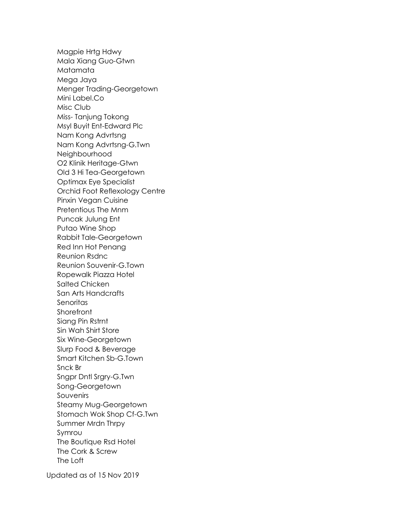Magpie Hrtg Hdwy Mala Xiang Guo-Gtwn Matamata Mega Jaya Menger Trading-Georgetown Mini Label.Co Misc Club Miss- Tanjung Tokong Msyl Buyit Ent-Edward Plc Nam Kong Advrtsng Nam Kong Advrtsng-G.Twn **Neighbourhood** O2 Klinik Heritage-Gtwn Old 3 Hi Tea-Georgetown Optimax Eye Specialist Orchid Foot Reflexology Centre Pinxin Vegan Cuisine Pretentious The Mnm Puncak Julung Ent Putao Wine Shop Rabbit Tale-Georgetown Red Inn Hot Penang Reunion Rsdnc Reunion Souvenir-G.Town Ropewalk Piazza Hotel Salted Chicken San Arts Handcrafts **Senoritas Shorefront** Siang Pin Rstrnt Sin Wah Shirt Store Six Wine-Georgetown Slurp Food & Beverage Smart Kitchen Sb-G.Town Snck Br Sngpr Dntl Srgry-G.Twn Song-Georgetown Souvenirs Steamy Mug-Georgetown Stomach Wok Shop Cf-G.Twn Summer Mrdn Thrpy Symrou The Boutique Rsd Hotel The Cork & Screw The Loft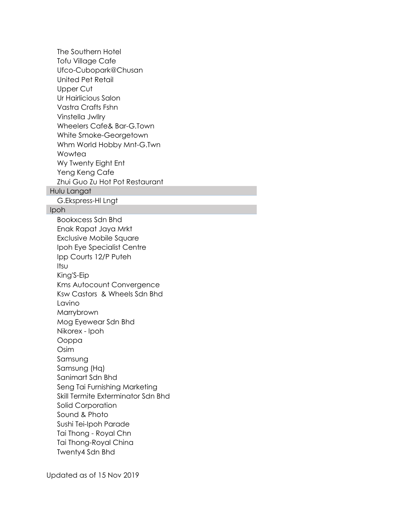The Southern Hotel Tofu Village Cafe Ufco-Cubopark@Chusan United Pet Retail Upper Cut Ur Hairlicious Salon Vastra Crafts Fshn Vinstella Jwllry Wheelers Cafe& Bar-G.Town White Smoke-Georgetown Whm World Hobby Mnt-G.Twn **Wowtea** Wy Twenty Eight Ent Yeng Keng Cafe Zhui Guo Zu Hot Pot Restaurant Hulu Langat G.Ekspress-Hl Lngt Ipoh Bookxcess Sdn Bhd Enak Rapat Jaya Mrkt Exclusive Mobile Square Ipoh Eye Specialist Centre Ipp Courts 12/P Puteh Itsu King'S-Eip Kms Autocount Convergence Ksw Castors & Wheels Sdn Bhd Lavino Marrybrown Mog Eyewear Sdn Bhd Nikorex - Ipoh Ooppa Osim Samsung Samsung (Hq) Sanimart Sdn Bhd Seng Tai Furnishing Marketing Skill Termite Exterminator Sdn Bhd Solid Corporation Sound & Photo Sushi Tei-Ipoh Parade Tai Thong - Royal Chn Tai Thong-Royal China Twenty4 Sdn Bhd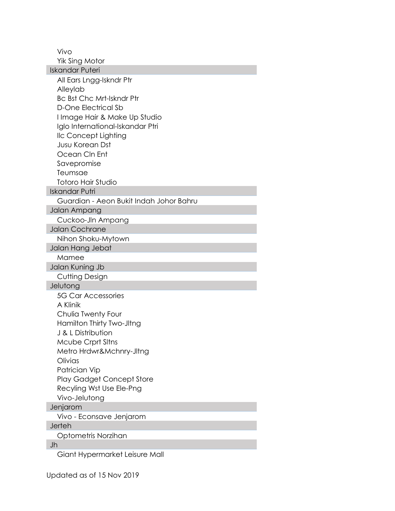Vivo

Yik Sing Motor Iskandar Puteri All Ears Lngg-Iskndr Ptr Alleylab Bc Bst Chc Mrt-Iskndr Ptr D-One Electrical Sb I Image Hair & Make Up Studio Iglo International-Iskandar Ptri Ilc Concept Lighting Jusu Korean Dst Ocean Cln Ent Savepromise Teumsae Totoro Hair Studio Iskandar Putri Guardian - Aeon Bukit Indah Johor Bahru Jalan Ampang Cuckoo-Jln Ampang Jalan Cochrane Nihon Shoku-Mytown Jalan Hang Jebat Mamee Jalan Kuning Jb Cutting Design **Jelutong** 5G Car Accessories A Klinik Chulia Twenty Four Hamilton Thirty Two-Jltng J & L Distribution Mcube Crprt Sltns Metro Hrdwr&Mchnry-Jltng **Olivias** Patrician Vip Play Gadget Concept Store Recyling Wst Use Ele-Png Vivo-Jelutong Jenjarom Vivo - Econsave Jenjarom Jerteh Optometris Norzihan Jh Giant Hypermarket Leisure Mall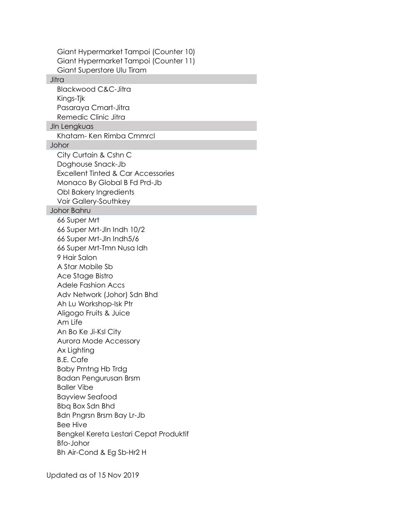| Giant Hypermarket Tampoi (Counter 10)<br>Giant Hypermarket Tampoi (Counter 11)                                                                                                                                                                                                                                                                                                                                                                                                                                                                                                        |
|---------------------------------------------------------------------------------------------------------------------------------------------------------------------------------------------------------------------------------------------------------------------------------------------------------------------------------------------------------------------------------------------------------------------------------------------------------------------------------------------------------------------------------------------------------------------------------------|
| Giant Superstore Ulu Tiram<br>Jitra                                                                                                                                                                                                                                                                                                                                                                                                                                                                                                                                                   |
| <b>Blackwood C&amp;C-Jitra</b>                                                                                                                                                                                                                                                                                                                                                                                                                                                                                                                                                        |
| Kings-Tjk                                                                                                                                                                                                                                                                                                                                                                                                                                                                                                                                                                             |
| Pasaraya Cmart-Jitra                                                                                                                                                                                                                                                                                                                                                                                                                                                                                                                                                                  |
| Remedic Clinic Jitra<br>JIn Lengkuas                                                                                                                                                                                                                                                                                                                                                                                                                                                                                                                                                  |
| Khatam-Ken Rimba Cmmrcl                                                                                                                                                                                                                                                                                                                                                                                                                                                                                                                                                               |
| Johor                                                                                                                                                                                                                                                                                                                                                                                                                                                                                                                                                                                 |
| City Curtain & Cshn C<br>Doghouse Snack-Jb<br>Excellent Tinted & Car Accessories<br>Monaco By Global B Fd Prd-Jb<br>Obl Bakery Ingredients<br>Voir Gallery-Southkey                                                                                                                                                                                                                                                                                                                                                                                                                   |
| <b>Johor Bahru</b><br>66 Super Mrt                                                                                                                                                                                                                                                                                                                                                                                                                                                                                                                                                    |
| 66 Super Mrt-Jln Indh 10/2<br>66 Super Mrt-Jln Indh5/6<br>66 Super Mrt-Tmn Nusa Idh<br>9 Hair Salon<br>A Star Mobile Sb<br>Ace Stage Bistro<br><b>Adele Fashion Accs</b><br>Adv Network (Johor) Sdn Bhd<br>Ah Lu Workshop-Isk Ptr<br>Aligogo Fruits & Juice<br>Am Life<br>An Bo Ke Ji-Ksl City<br><b>Aurora Mode Accessory</b><br>Ax Lighting<br><b>B.E. Cafe</b><br><b>Baby Prntng Hb Trdg</b><br>Badan Pengurusan Brsm<br><b>Baller Vibe</b><br><b>Bayview Seafood</b><br>Bbq Box Sdn Bhd<br>Bdn Pngrsn Brsm Bay Lr-Jb<br><b>Bee Hive</b><br>Bengkel Kereta Lestari Cepat Produktif |
| <b>Bfo-Johor</b><br>Bh Air-Cond & Eg Sb-Hr2 H                                                                                                                                                                                                                                                                                                                                                                                                                                                                                                                                         |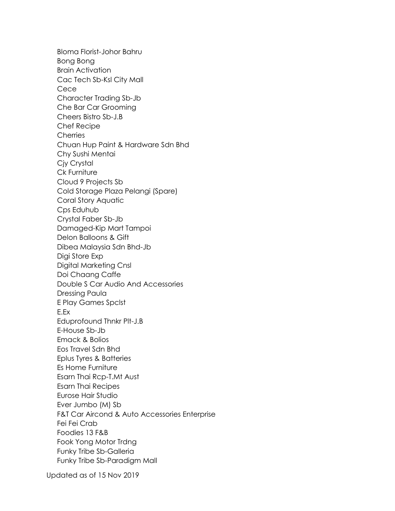Bloma Florist-Johor Bahru Bong Bong Brain Activation Cac Tech Sb-Ksl City Mall Cece Character Trading Sb-Jb Che Bar Car Grooming Cheers Bistro Sb-J.B Chef Recipe **Cherries** Chuan Hup Paint & Hardware Sdn Bhd Chy Sushi Mentai Cjy Crystal Ck Furniture Cloud 9 Projects Sb Cold Storage Plaza Pelangi (Spare) Coral Story Aquatic Cps Eduhub Crystal Faber Sb-Jb Damaged-Kip Mart Tampoi Delon Balloons & Gift Dibea Malaysia Sdn Bhd-Jb Digi Store Exp Digital Marketing Cnsl Doi Chaang Caffe Double S Car Audio And Accessories Dressing Paula E Play Games Spclst E.Ex Eduprofound Thnkr Plt-J.B E-House Sb-Jb Emack & Bolios Eos Travel Sdn Bhd Eplus Tyres & Batteries Es Home Furniture Esarn Thai Rcp-T.Mt Aust Esarn Thai Recipes Eurose Hair Studio Ever Jumbo (M) Sb F&T Car Aircond & Auto Accessories Enterprise Fei Fei Crab Foodies 13 F&B Fook Yong Motor Trdng Funky Tribe Sb-Galleria Funky Tribe Sb-Paradigm Mall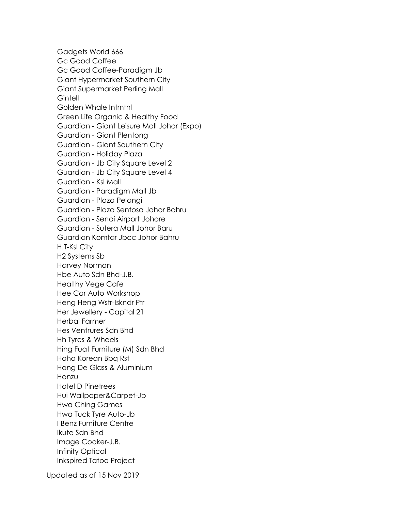Gadgets World 666 Gc Good Coffee Gc Good Coffee-Paradigm Jb Giant Hypermarket Southern City Giant Supermarket Perling Mall **Gintell** Golden Whale Intrntnl Green Life Organic & Healthy Food Guardian - Giant Leisure Mall Johor (Expo) Guardian - Giant Plentong Guardian - Giant Southern City Guardian - Holiday Plaza Guardian - Jb City Square Level 2 Guardian - Jb City Square Level 4 Guardian - Ksl Mall Guardian - Paradigm Mall Jb Guardian - Plaza Pelangi Guardian - Plaza Sentosa Johor Bahru Guardian - Senai Airport Johore Guardian - Sutera Mall Johor Baru Guardian Komtar Jbcc Johor Bahru H.T-Ksl City H2 Systems Sb Harvey Norman Hbe Auto Sdn Bhd-J.B. Healthy Vege Cafe Hee Car Auto Workshop Heng Heng Wstr-Iskndr Ptr Her Jewellery - Capital 21 Herbal Farmer Hes Ventrures Sdn Bhd Hh Tyres & Wheels Hing Fuat Furniture (M) Sdn Bhd Hoho Korean Bbq Rst Hong De Glass & Aluminium Honzu Hotel D Pinetrees Hui Wallpaper&Carpet-Jb Hwa Ching Games Hwa Tuck Tyre Auto-Jb I Benz Furniture Centre Ikute Sdn Bhd Image Cooker-J.B. Infinity Optical Inkspired Tatoo Project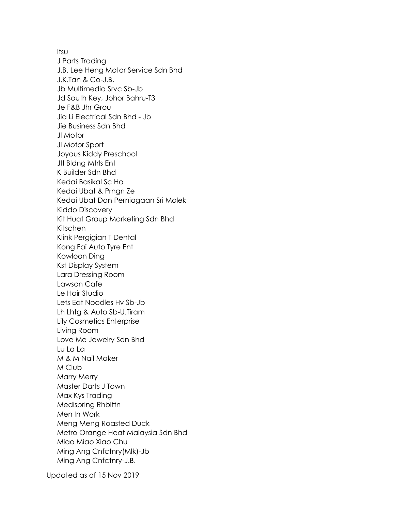Itsu J Parts Trading J.B. Lee Heng Motor Service Sdn Bhd J.K.Tan & Co-J.B. Jb Multimedia Srvc Sb-Jb Jd South Key, Johor Bahru-T3 Je F&B Jhr Grou Jia Li Electrical Sdn Bhd - Jb Jie Business Sdn Bhd Jl Motor Jl Motor Sport Joyous Kiddy Preschool Jtl Bldng Mtrls Ent K Builder Sdn Bhd Kedai Basikal Sc Ho Kedai Ubat & Prngn Ze Kedai Ubat Dan Perniagaan Sri Molek Kiddo Discovery Kit Huat Group Marketing Sdn Bhd Kitschen Klink Pergigian T Dental Kong Fai Auto Tyre Ent Kowloon Ding Kst Display System Lara Dressing Room Lawson Cafe Le Hair Studio Lets Eat Noodles Hv Sb-Jb Lh Lhtg & Auto Sb-U.Tiram Lily Cosmetics Enterprise Living Room Love Me Jewelry Sdn Bhd Lu La La M & M Nail Maker M Club Marry Merry Master Darts J Town Max Kys Trading Medispring Rhblttn Men In Work Meng Meng Roasted Duck Metro Orange Heat Malaysia Sdn Bhd Miao Miao Xiao Chu Ming Ang Cnfctnry(Mlk)-Jb Ming Ang Cnfctnry-J.B.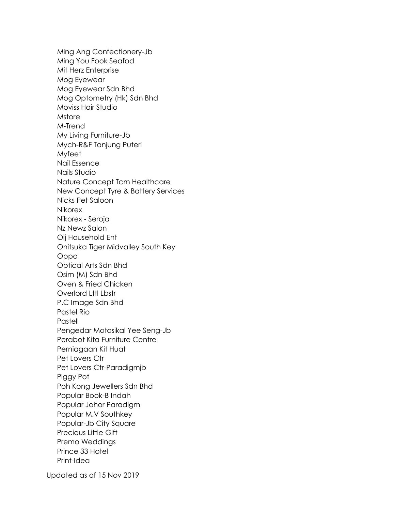Ming Ang Confectionery-Jb Ming You Fook Seafod Mit Herz Enterprise Mog Eyewear Mog Eyewear Sdn Bhd Mog Optometry (Hk) Sdn Bhd Moviss Hair Studio **Mstore** M-Trend My Living Furniture-Jb Mych-R&F Tanjung Puteri Myfeet Nail Essence Nails Studio Nature Concept Tcm Healthcare New Concept Tyre & Battery Services Nicks Pet Saloon Nikorex Nikorex - Seroja Nz Newz Salon Oij Household Ent Onitsuka Tiger Midvalley South Key Oppo Optical Arts Sdn Bhd Osim (M) Sdn Bhd Oven & Fried Chicken Overlord Lttl Lbstr P.C Image Sdn Bhd Pastel Rio **Pastell** Pengedar Motosikal Yee Seng-Jb Perabot Kita Furniture Centre Perniagaan Kit Huat Pet Lovers Ctr Pet Lovers Ctr-Paradigmjb Piggy Pot Poh Kong Jewellers Sdn Bhd Popular Book-B Indah Popular Johor Paradigm Popular M.V Southkey Popular-Jb City Square Precious Little Gift Premo Weddings Prince 33 Hotel Print-Idea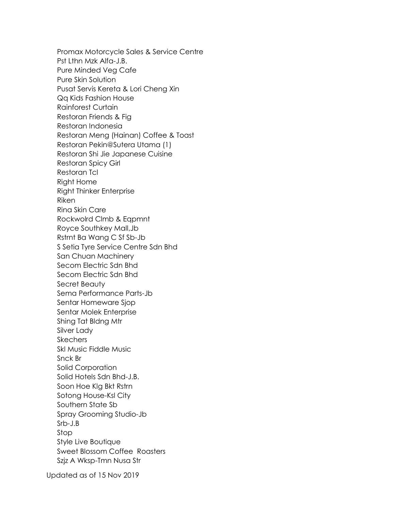Promax Motorcycle Sales & Service Centre Pst Lthn Mzk Alfa-J.B. Pure Minded Veg Cafe Pure Skin Solution Pusat Servis Kereta & Lori Cheng Xin Qq Kids Fashion House Rainforest Curtain Restoran Friends & Fig Restoran Indonesia Restoran Meng (Hainan) Coffee & Toast Restoran Pekin@Sutera Utama (1) Restoran Shi Jie Japanese Cuisine Restoran Spicy Girl Restoran Tcl Right Home Right Thinker Enterprise Riken Rina Skin Care Rockwolrd Clmb & Eqpmnt Royce Southkey Mall,Jb Rstrnt Ba Wang C Sf Sb-Jb S Setia Tyre Service Centre Sdn Bhd San Chuan Machinery Secom Electric Sdn Bhd Secom Electric Sdn Bhd Secret Beauty Sema Performance Parts-Jb Sentar Homeware Sjop Sentar Molek Enterprise Shing Tat Bldng Mtr Silver Lady **Skechers** Skl Music Fiddle Music Snck Br Solid Corporation Solid Hotels Sdn Bhd-J.B. Soon Hoe Klg Bkt Rstrn Sotong House-Ksl City Southern State Sb Spray Grooming Studio-Jb Srb-J.B Stop Style Live Boutique Sweet Blossom Coffee Roasters Szjz A Wksp-Tmn Nusa Str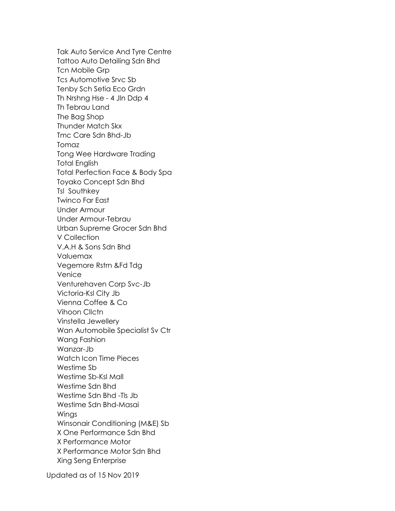Tak Auto Service And Tyre Centre Tattoo Auto Detailing Sdn Bhd Tcn Mobile Grp Tcs Automotive Srvc Sb Tenby Sch Setia Eco Grdn Th Nrshng Hse - 4 Jln Ddp 4 Th Tebrau Land The Bag Shop Thunder Match Skx Tmc Care Sdn Bhd-Jb Tomaz Tong Wee Hardware Trading Total English Total Perfection Face & Body Spa Toyako Concept Sdn Bhd Tsl Southkey Twinco Far East Under Armour Under Armour-Tebrau Urban Supreme Grocer Sdn Bhd V Collection V.A.H & Sons Sdn Bhd Valuemax Vegemore Rstrn &Fd Tdg Venice Venturehaven Corp Svc-Jb Victoria-Ksl City Jb Vienna Coffee & Co Vihoon Cllctn Vinstella Jewellery Wan Automobile Specialist Sv Ctr Wang Fashion Wanzar-Jb Watch Icon Time Pieces Westime Sb Westime Sb-Ksl Mall Westime Sdn Bhd Westime Sdn Bhd -Tls Jb Westime Sdn Bhd-Masai Wings Winsonair Conditioning (M&E) Sb X One Performance Sdn Bhd X Performance Motor X Performance Motor Sdn Bhd Xing Seng Enterprise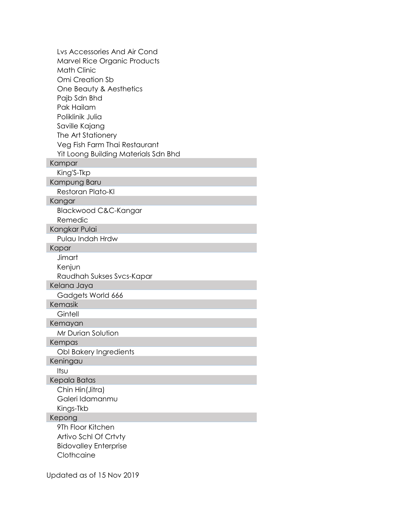| Lys Accessories And Air Cond         |
|--------------------------------------|
| Marvel Rice Organic Products         |
| <b>Math Clinic</b>                   |
| Omi Creation Sb                      |
| One Beauty & Aesthetics              |
| Pajb Sdn Bhd                         |
| Pak Hailam                           |
| Poliklinik Julia                     |
| Saville Kajang                       |
| The Art Stationery                   |
| Veg Fish Farm Thai Restaurant        |
| Yit Loong Building Materials Sdn Bhd |
| Kampar                               |
| King'S-Tkp                           |
| Kampung Baru                         |
| Restoran Plato-KI                    |
| Kangar                               |
| Blackwood C&C-Kangar                 |
| Remedic                              |
| Kangkar Pulai                        |
| Pulau Indah Hrdw                     |
| Kapar                                |
| Jimart                               |
| Kenjun                               |
| Raudhah Sukses Svcs-Kapar            |
| Kelana Jaya                          |
| Gadgets World 666                    |
| Kemasik                              |
| Gintell                              |
| Kemayan                              |
| Mr Durian Solution                   |
| Kempas                               |
| Obl Bakery Ingredients               |
| Keningau                             |
| Itsu                                 |
| Kepala Batas                         |
| Chin Hin(Jitra)                      |
| Galeri Idamanmu                      |
| Kings-Tkb                            |
| Kepong                               |
| 9Th Floor Kitchen                    |
| Artivo Schl Of Crtvty                |
| <b>Bidovalley Enterprise</b>         |
| Clothcaine                           |
|                                      |
| Updated as of 15 Nov 2019            |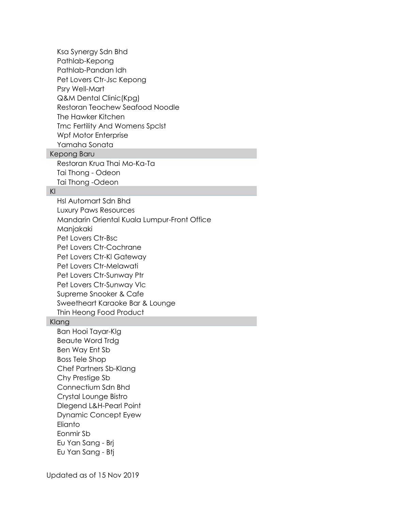Ksa Synergy Sdn Bhd Pathlab-Kepong Pathlab-Pandan Idh Pet Lovers Ctr-Jsc Kepong Psry Well-Mart Q&M Dental Clinic(Kpg) Restoran Teochew Seafood Noodle The Hawker Kitchen Tmc Fertility And Womens Spclst Wpf Motor Enterprise Yamaha Sonata

# Kepong Baru

Restoran Krua Thai Mo-Ka-Ta Tai Thong - Odeon Tai Thong -Odeon

#### Kl

Hsl Automart Sdn Bhd Luxury Paws Resources Mandarin Oriental Kuala Lumpur-Front Office Manjakaki Pet Lovers Ctr-Bsc Pet Lovers Ctr-Cochrane Pet Lovers Ctr-Kl Gateway Pet Lovers Ctr-Melawati Pet Lovers Ctr-Sunway Ptr Pet Lovers Ctr-Sunway Vlc Supreme Snooker & Cafe Sweetheart Karaoke Bar & Lounge Thin Heong Food Product

#### Klang

Ban Hooi Tayar-Klg Beaute Word Trdg Ben Way Ent Sb Boss Tele Shop Chef Partners Sb-Klang Chy Prestige Sb Connectium Sdn Bhd Crystal Lounge Bistro Dlegend L&H-Pearl Point Dynamic Concept Eyew **Flianto** Eonmir Sb Eu Yan Sang - Brj Eu Yan Sang - Btj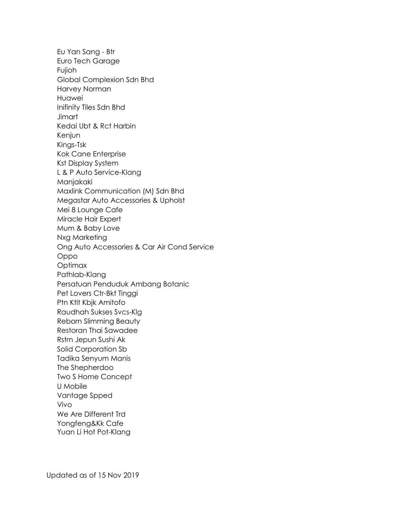Eu Yan Sang - Btr Euro Tech Garage Fujioh Global Complexion Sdn Bhd Harvey Norman Huawei Inifinity Tiles Sdn Bhd **Jimart** Kedai Ubt & Rct Harbin Kenjun Kings-Tsk Kok Cane Enterprise Kst Display System L & P Auto Service-Klang Manjakaki Maxlink Communication (M) Sdn Bhd Megastar Auto Accessories & Upholst Mei 8 Lounge Cafe Miracle Hair Expert Mum & Baby Love Nxg Marketing Ong Auto Accessories & Car Air Cond Service Oppo Optimax Pathlab-Klang Persatuan Penduduk Ambang Botanic Pet Lovers Ctr-Bkt Tinggi Ptn Ktlt Kbjk Amitofo Raudhah Sukses Svcs-Klg Reborn Slimming Beauty Restoran Thai Sawadee Rstrn Jepun Sushi Ak Solid Corporation Sb Tadika Senyum Manis The Shepherdoo Two S Home Concept U Mobile Vantage Spped Vivo We Are Different Trd Yongfeng&Kk Cafe Yuan Li Hot Pot-Klang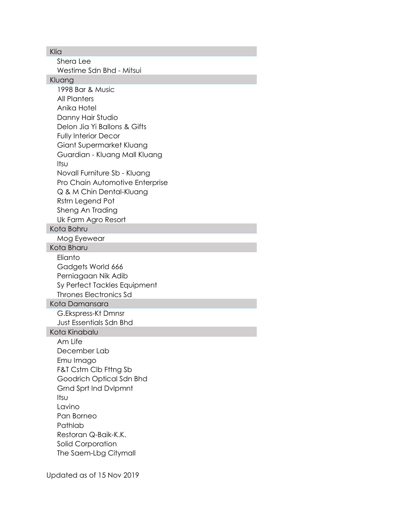Klia

Shera Lee Westime Sdn Bhd - Mitsui Kluang 1998 Bar & Music All Planters Anika Hotel Danny Hair Studio Delon Jia Yi Ballons & Gifts Fully Interior Decor Giant Supermarket Kluang Guardian - Kluang Mall Kluang Itsu Novall Furniture Sb - Kluang Pro Chain Automotive Enterprise Q & M Chin Dental-Kluang Rstrn Legend Pot Sheng An Trading Uk Farm Agro Resort Kota Bahru Mog Eyewear Kota Bharu **Flianto** Gadgets World 666 Perniagaan Nik Adib Sy Perfect Tackles Equipment Thrones Electronics Sd Kota Damansara G.Ekspress-Kt Dmnsr Just Essentials Sdn Bhd Kota Kinabalu Am Life December Lab Emu Imago F&T Cstm Clb Fttng Sb Goodrich Optical Sdn Bhd Grnd Sprt Ind Dvlpmnt Itsu Lavino Pan Borneo Pathlab Restoran Q-Baik-K.K. Solid Corporation The Saem-Lbg Citymall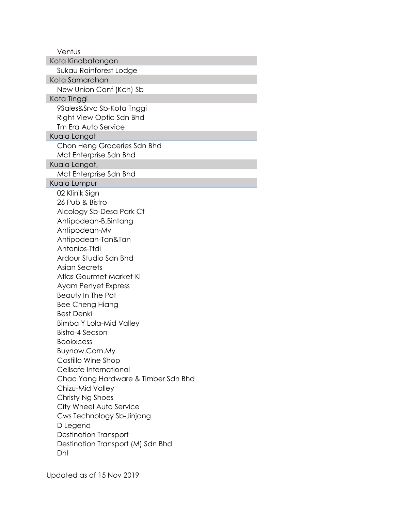Ventus Kota Kinabatangan Sukau Rainforest Lodge Kota Samarahan New Union Conf (Kch) Sb Kota Tinggi 9Sales&Srvc Sb-Kota Tnggi Right View Optic Sdn Bhd Tm Era Auto Service Kuala Langat Chon Heng Groceries Sdn Bhd Mct Enterprise Sdn Bhd Kuala Langat, Mct Enterprise Sdn Bhd Kuala Lumpur 02 Klinik Sign 26 Pub & Bistro Alcology Sb-Desa Park Ct Antipodean-B.Bintang Antipodean-Mv Antipodean-Tan&Tan Antonios-Ttdi Ardour Studio Sdn Bhd Asian Secrets Atlas Gourmet Market-Kl Ayam Penyet Express Beauty In The Pot Bee Cheng Hiang Best Denki Bimba Y Lola-Mid Valley Bistro-4 Season **Bookxcess** Buynow.Com.My Castillo Wine Shop Cellsafe International Chao Yang Hardware & Timber Sdn Bhd Chizu-Mid Valley Christy Ng Shoes City Wheel Auto Service Cws Technology Sb-Jinjang D Legend Destination Transport Destination Transport (M) Sdn Bhd Dhl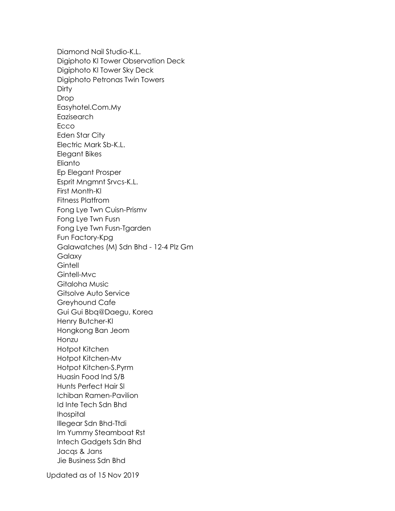Diamond Nail Studio-K.L. Digiphoto Kl Tower Observation Deck Digiphoto Kl Tower Sky Deck Digiphoto Petronas Twin Towers **Dirty** Drop Easyhotel.Com.My Eazisearch **Ecco** Eden Star City Electric Mark Sb-K.L. Elegant Bikes Elianto Ep Elegant Prosper Esprit Mngmnt Srvcs-K.L. First Month-Kl Fitness Platfrom Fong Lye Twn Cuisn-Prismv Fong Lye Twn Fusn Fong Lye Twn Fusn-Tgarden Fun Factory-Kpg Galawatches (M) Sdn Bhd - 12-4 Plz Gm Galaxy **Gintell** Gintell-Mvc Gitaloha Music Gitsolve Auto Service Greyhound Cafe Gui Gui Bbq@Daegu, Korea Henry Butcher-Kl Hongkong Ban Jeom Honzu Hotpot Kitchen Hotpot Kitchen-Mv Hotpot Kitchen-S.Pyrm Huasin Food Ind S/B Hunts Perfect Hair Sl Ichiban Ramen-Pavilion Id Inte Tech Sdn Bhd Ihospital Illegear Sdn Bhd-Ttdi Im Yummy Steamboat Rst Intech Gadgets Sdn Bhd Jacqs & Jans Jie Business Sdn Bhd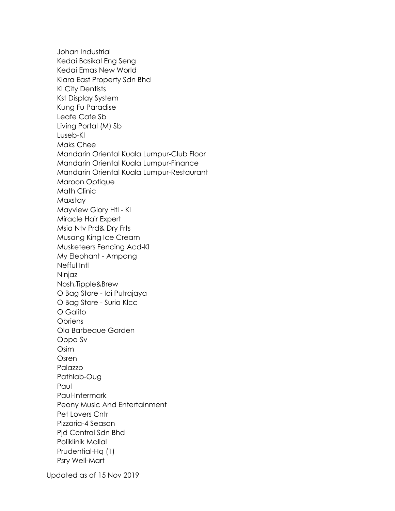Johan Industrial Kedai Basikal Eng Seng Kedai Emas New World Kiara East Property Sdn Bhd Kl City Dentists Kst Display System Kung Fu Paradise Leafe Cafe Sb Living Portal (M) Sb Luseb-Kl Maks Chee Mandarin Oriental Kuala Lumpur-Club Floor Mandarin Oriental Kuala Lumpur-Finance Mandarin Oriental Kuala Lumpur-Restaurant Maroon Optique Math Clinic Maxstay Mayview Glory Htl - Kl Miracle Hair Expert Msia Ntv Prd& Dry Frts Musang King Ice Cream Musketeers Fencing Acd-Kl My Elephant - Ampang Nefful Intl Ninjaz Nosh,Tipple&Brew O Bag Store - Ioi Putrajaya O Bag Store - Suria Klcc O Galito **Obriens** Ola Barbeque Garden Oppo-Sv Osim Osren Palazzo Pathlab-Oug Paul Paul-Intermark Peony Music And Entertainment Pet Lovers Cntr Pizzaria-4 Season Pjd Central Sdn Bhd Poliklinik Mallal Prudential-Hq (1) Psry Well-Mart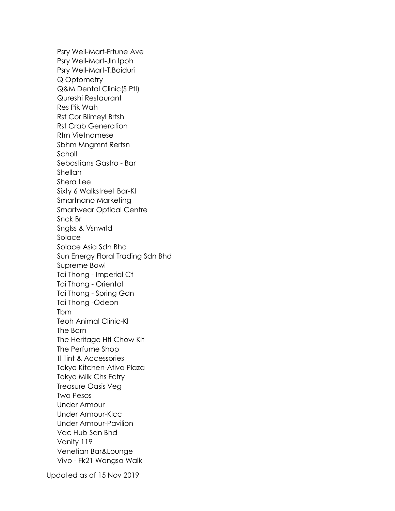Psry Well-Mart-Frtune Ave Psry Well-Mart-Jln Ipoh Psry Well-Mart-T.Baiduri Q Optometry Q&M Dental Clinic(S.Ptl) Qureshi Restaurant Res Pik Wah Rst Cor Blimeyl Brtsh Rst Crab Generation Rtrn Vietnamese Sbhm Mngmnt Rertsn Scholl Sebastians Gastro - Bar Shellah Shera Lee Sixty 6 Walkstreet Bar-Kl Smartnano Marketing Smartwear Optical Centre Snck Br Snglss & Vsnwrld Solace Solace Asia Sdn Bhd Sun Energy Floral Trading Sdn Bhd Supreme Bowl Tai Thong - Imperial Ct Tai Thong - Oriental Tai Thong - Spring Gdn Tai Thong -Odeon Tbm Teoh Animal Clinic-Kl The Barn The Heritage Htl-Chow Kit The Perfume Shop Tl Tint & Accessories Tokyo Kitchen-Ativo Plaza Tokyo Milk Chs Fctry Treasure Oasis Veg Two Pesos Under Armour Under Armour-Klcc Under Armour-Pavilion Vac Hub Sdn Bhd Vanity 119 Venetian Bar&Lounge Vivo - Fk21 Wangsa Walk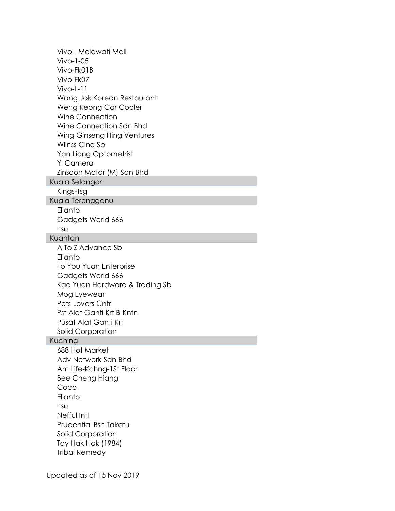Vivo - Melawati Mall Vivo-1-05 Vivo-Fk01B Vivo-Fk07 Vivo-L-11 Wang Jok Korean Restaurant Weng Keong Car Cooler Wine Connection Wine Connection Sdn Bhd Wing Ginseng Hing Ventures Wllnss Clnq Sb Yan Liong Optometrist Yl Camera Zinsoon Motor (M) Sdn Bhd Kuala Selangor Kings-Tsg Kuala Terengganu **Elianto** Gadgets World 666 Itsu Kuantan A To Z Advance Sb Elianto Fo You Yuan Enterprise Gadgets World 666 Kae Yuan Hardware & Trading Sb Mog Eyewear Pets Lovers Cntr Pst Alat Ganti Krt B-Kntn Pusat Alat Ganti Krt Solid Corporation Kuching 688 Hot Market Adv Network Sdn Bhd Am Life-Kchng-1St Floor Bee Cheng Hiang Coco Elianto Itsu Nefful Intl Prudential Bsn Takaful Solid Corporation Tay Hak Hak (1984) Tribal Remedy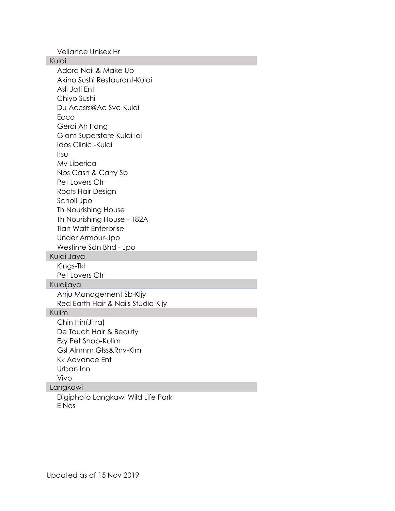Veliance Unisex Hr

Kulai Adora Nail & Make Up Akino Sushi Restaurant-Kulai Asli Jati Ent Chiyo Sushi Du Accsrs@Ac Svc-Kulai **Ecco** Gerai Ah Pang Giant Superstore Kulai Ioi Idos Clinic -Kulai Itsu My Liberica Nbs Cash & Carry Sb Pet Lovers Ctr Roots Hair Design Scholl-Jpo Th Nourishing House Th Nourishing House - 182A Tian Watt Enterprise Under Armour-Jpo Westime Sdn Bhd - Jpo Kulai Jaya Kings-Tkl Pet Lovers Ctr Kulaijaya Anju Management Sb-Kljy Red Earth Hair & Nails Studio-Kljy Kulim Chin Hin(Jitra) De Touch Hair & Beauty Ezy Pet Shop-Kulim Gsl Almnm Glss&Rnv-Klm Kk Advance Ent Urban Inn Vivo Langkawi Digiphoto Langkawi Wild Life Park E Nos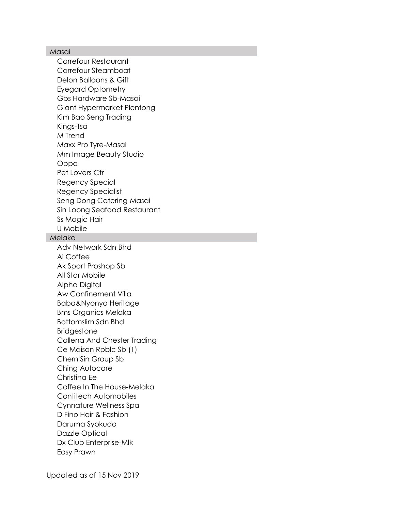## Masai

Carrefour Restaurant Carrefour Steamboat Delon Balloons & Gift Eyegard Optometry Gbs Hardware Sb-Masai Giant Hypermarket Plentong Kim Bao Seng Trading Kings-Tsa M Trend Maxx Pro Tyre-Masai Mm Image Beauty Studio Oppo Pet Lovers Ctr Regency Special Regency Specialist Seng Dong Catering-Masai Sin Loong Seafood Restaurant Ss Magic Hair U Mobile Melaka

Adv Network Sdn Bhd Ai Coffee Ak Sport Proshop Sb All Star Mobile Alpha Digital Aw Confinement Villa Baba&Nyonya Heritage Bms Organics Melaka Bottomslim Sdn Bhd Bridgestone Callena And Chester Trading Ce Maison Rpblc Sb (1) Chern Sin Group Sb Ching Autocare Christina Ee Coffee In The House-Melaka Contitech Automobiles Cynnature Wellness Spa D Fino Hair & Fashion Daruma Syokudo Dazzle Optical Dx Club Enterprise-Mlk Easy Prawn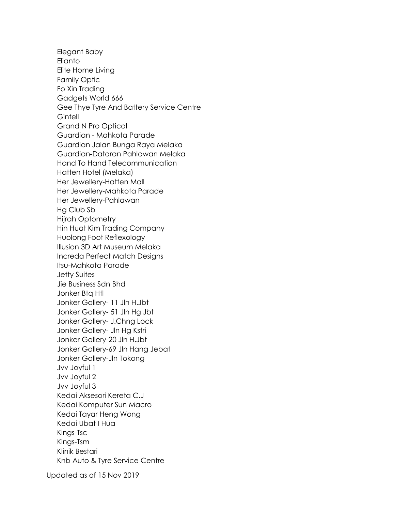Elegant Baby Elianto Elite Home Living Family Optic Fo Xin Trading Gadgets World 666 Gee Thye Tyre And Battery Service Centre **Gintell** Grand N Pro Optical Guardian - Mahkota Parade Guardian Jalan Bunga Raya Melaka Guardian-Dataran Pahlawan Melaka Hand To Hand Telecommunication Hatten Hotel (Melaka) Her Jewellery-Hatten Mall Her Jewellery-Mahkota Parade Her Jewellery-Pahlawan Hg Club Sb Hijrah Optometry Hin Huat Kim Trading Company Huolong Foot Reflexology Illusion 3D Art Museum Melaka Increda Perfect Match Designs Itsu-Mahkota Parade Jetty Suites Jie Business Sdn Bhd Jonker Btq Htl Jonker Gallery- 11 Jln H.Jbt Jonker Gallery- 51 Jln Hg Jbt Jonker Gallery- J.Chng Lock Jonker Gallery- Jln Hg Kstri Jonker Gallery-20 Jln H.Jbt Jonker Gallery-69 Jln Hang Jebat Jonker Gallery-Jln Tokong Jvv Joyful 1 Jvv Joyful 2 Jvv Joyful 3 Kedai Aksesori Kereta C.J Kedai Komputer Sun Macro Kedai Tayar Heng Wong Kedai Ubat I Hua Kings-Tsc Kings-Tsm Klinik Bestari Knb Auto & Tyre Service Centre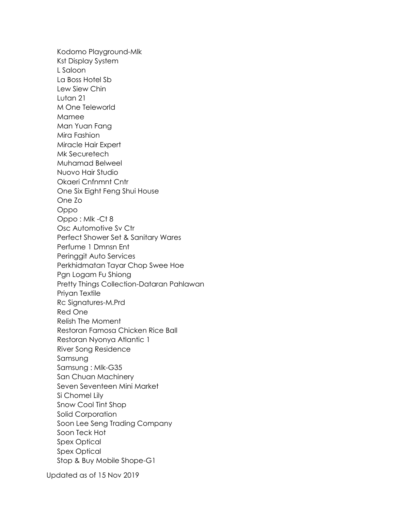Kodomo Playground-Mlk Kst Display System L Saloon La Boss Hotel Sb Lew Siew Chin Lutan 21 M One Teleworld Mamee Man Yuan Fang Mira Fashion Miracle Hair Expert Mk Securetech Muhamad Belweel Nuovo Hair Studio Okaeri Cnfnmnt Cntr One Six Eight Feng Shui House One Zo Oppo Oppo : Mlk -Ct 8 Osc Automotive Sv Ctr Perfect Shower Set & Sanitary Wares Perfume 1 Dmnsn Ent Peringgit Auto Services Perkhidmatan Tayar Chop Swee Hoe Pgn Logam Fu Shiong Pretty Things Collection-Dataran Pahlawan Priyan Textile Rc Signatures-M.Prd Red One Relish The Moment Restoran Famosa Chicken Rice Ball Restoran Nyonya Atlantic 1 River Song Residence Samsung Samsung : Mlk-G35 San Chuan Machinery Seven Seventeen Mini Market Si Chomel Lily Snow Cool Tint Shop Solid Corporation Soon Lee Seng Trading Company Soon Teck Hot Spex Optical Spex Optical Stop & Buy Mobile Shope-G1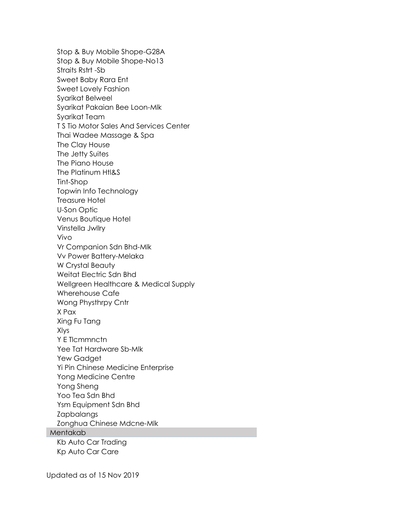Stop & Buy Mobile Shope-G28A Stop & Buy Mobile Shope-No13 Straits Rstrt -Sb Sweet Baby Rara Ent Sweet Lovely Fashion Syarikat Belweel Syarikat Pakaian Bee Loon-Mlk Syarikat Team T S Tio Motor Sales And Services Center Thai Wadee Massage & Spa The Clay House The Jetty Suites The Piano House The Platinum Htl&S Tint-Shop Topwin Info Technology Treasure Hotel U-Son Optic Venus Boutique Hotel Vinstella Jwllry Vivo Vr Companion Sdn Bhd-Mlk Vv Power Battery-Melaka W Crystal Beauty Weitat Electric Sdn Bhd Wellgreen Healthcare & Medical Supply Wherehouse Cafe Wong Physthrpy Cntr X Pax Xing Fu Tang Xlys Y E Tlcmmnctn Yee Tat Hardware Sb-Mlk Yew Gadget Yi Pin Chinese Medicine Enterprise Yong Medicine Centre Yong Sheng Yoo Tea Sdn Bhd Ysm Equipment Sdn Bhd Zapbalangs Zonghua Chinese Mdcne-Mlk Mentakab Kb Auto Car Trading Kp Auto Car Care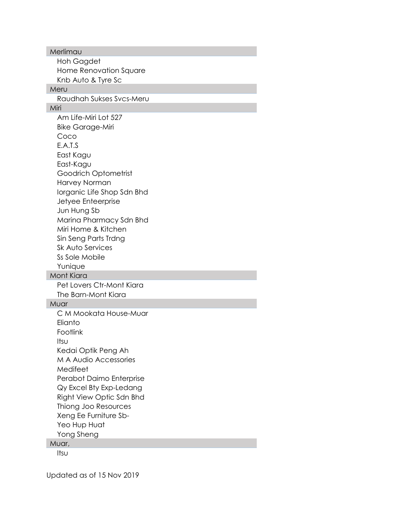Merlimau Hoh Gagdet Home Renovation Square Knb Auto & Tyre Sc Meru Raudhah Sukses Svcs-Meru Miri Am Life-Miri Lot 527 Bike Garage-Miri Coco E.A.T.S East Kagu East-Kagu Goodrich Optometrist Harvey Norman Iorganic Life Shop Sdn Bhd Jetyee Enteerprise Jun Hung Sb Marina Pharmacy Sdn Bhd Miri Home & Kitchen Sin Seng Parts Trdng Sk Auto Services Ss Sole Mobile Yunique Mont Kiara Pet Lovers Ctr-Mont Kiara The Barn-Mont Kiara Muar C M Mookata House-Muar **Flianto** Footlink Itsu Kedai Optik Peng Ah M A Audio Accessories Medifeet Perabot Daimo Enterprise Qy Excel Bty Exp-Ledang Right View Optic Sdn Bhd Thiong Joo Resources Xeng Ee Furniture Sb-Yeo Hup Huat Yong Sheng Muar,

Itsu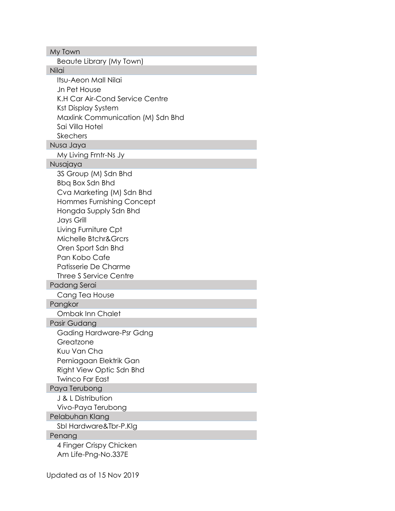| My Town                           |
|-----------------------------------|
| Beaute Library (My Town)          |
| Nilai                             |
| <b>Itsu-Aeon Mall Nilai</b>       |
| Jn Pet House                      |
| K.H Car Air-Cond Service Centre   |
| Kst Display System                |
| Maxlink Communication (M) Sdn Bhd |
| Sai Villa Hotel                   |
| <b>Skechers</b>                   |
| Nusa Jaya                         |
| My Living Frntr-Ns Jy             |
| Nusajaya                          |
| 3S Group (M) Sdn Bhd              |
| Bbq Box Sdn Bhd                   |
| Cva Marketing (M) Sdn Bhd         |
| Hommes Furnishing Concept         |
| Hongda Supply Sdn Bhd             |
| <b>Jays Grill</b>                 |
| Living Furniture Cpt              |
| Michelle Btchr&Grcrs              |
| Oren Sport Sdn Bhd                |
| Pan Kobo Cafe                     |
| Patisserie De Charme              |
| <b>Three S Service Centre</b>     |
| Padang Serai                      |
| Cang Tea House                    |
| Pangkor                           |
| <b>Ombak Inn Chalet</b>           |
| Pasir Gudang                      |
| Gading Hardware-Psr Gdng          |
| Greatzone                         |
| Kuu Van Cha                       |
| Perniagaan Elektrik Gan           |
| Right View Optic Sdn Bhd          |
| <b>Twinco Far East</b>            |
| Paya Terubong                     |
| J & L Distribution                |
| Vivo-Paya Terubong                |
| Pelabuhan Klang                   |
| Sbl Hardware&Tbr-P.Klg            |
| Penang                            |
| 4 Finger Crispy Chicken           |
| Am Life-Png-No.337E               |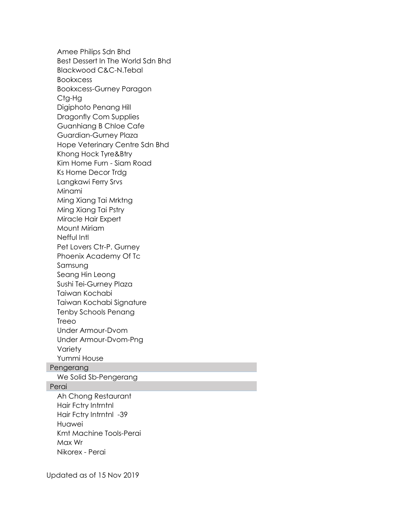Amee Philips Sdn Bhd Best Dessert In The World Sdn Bhd Blackwood C&C-N.Tebal Bookxcess Bookxcess-Gurney Paragon Ctg-Hg Digiphoto Penang Hill Dragonfly Com Supplies Guanhiang B Chloe Cafe Guardian-Gurney Plaza Hope Veterinary Centre Sdn Bhd Khong Hock Tyre&Btry Kim Home Furn - Siam Road Ks Home Decor Trdg Langkawi Ferry Srvs Minami Ming Xiang Tai Mrktng Ming Xiang Tai Pstry Miracle Hair Expert Mount Miriam Nefful Intl Pet Lovers Ctr-P. Gurney Phoenix Academy Of Tc Samsung Seang Hin Leong Sushi Tei-Gurney Plaza Taiwan Kochabi Taiwan Kochabi Signature Tenby Schools Penang Treeo Under Armour-Dvom Under Armour-Dvom-Png Variety Yummi House Pengerang We Solid Sb-Pengerang Perai Ah Chong Restaurant Hair Fctry Intrntnl Hair Fctry Intrntnl -39 Huawei Kmt Machine Tools-Perai Max Wr

Nikorex - Perai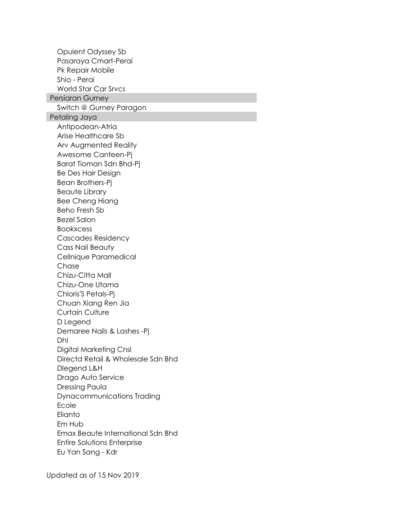Opulent Odyssey Sb Pasaraya Cmart-Perai Pk Repair Mobile Shio - Perai World Star Car Srvcs Persiaran Gurney Switch @ Gurney Paragon Petaling Jaya Antipodean-Atria Arise Healthcare Sb Arv Augmented Reality Awesome Canteen-Pj Barat Tioman Sdn Bhd-Pj Be Des Hair Design Bean Brothers-Pj Beaute Library Bee Cheng Hiang Beho Fresh Sb Bezel Salon Bookxcess Cascades Residency Cass Nail Beauty Cellnique Paramedical **Chase** Chizu-Citta Mall Chizu-One Utama Chloris'S Petals-Pj Chuan Xiang Ren Jia Curtain Culture D Legend Demaree Nails & Lashes -Pj Dhl Digital Marketing Cnsl Directd Retail & Wholesale Sdn Bhd Dlegend L&H Drago Auto Service Dressing Paula Dynacommunications Trading Ecole **Elianto** Em Hub Emax Beaute International Sdn Bhd Entire Solutions Enterprise Eu Yan Sang - Kdr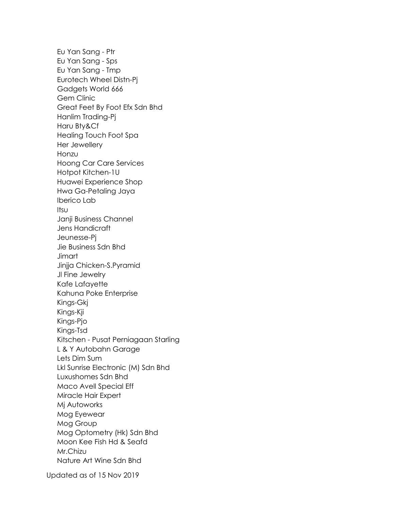Eu Yan Sang - Ptr Eu Yan Sang - Sps Eu Yan Sang - Tmp Eurotech Wheel Distn-Pj Gadgets World 666 Gem Clinic Great Feet By Foot Efx Sdn Bhd Hanlim Trading-Pj Haru Bty&Cf Healing Touch Foot Spa Her Jewellery Honzu Hoong Car Care Services Hotpot Kitchen-1U Huawei Experience Shop Hwa Ga-Petaling Jaya Iberico Lab Itsu Janji Business Channel Jens Handicraft Jeunesse-Pj Jie Business Sdn Bhd **Jimart** Jinjja Chicken-S.Pyramid Jl Fine Jewelry Kafe Lafayette Kahuna Poke Enterprise Kings-Gkj Kings-Kji Kings-Pjo Kings-Tsd Kitschen - Pusat Perniagaan Starling L & Y Autobahn Garage Lets Dim Sum Lkl Sunrise Electronic (M) Sdn Bhd Luxushomes Sdn Bhd Maco Avell Special Eff Miracle Hair Expert Mj Autoworks Mog Eyewear Mog Group Mog Optometry (Hk) Sdn Bhd Moon Kee Fish Hd & Seafd Mr.Chizu Nature Art Wine Sdn Bhd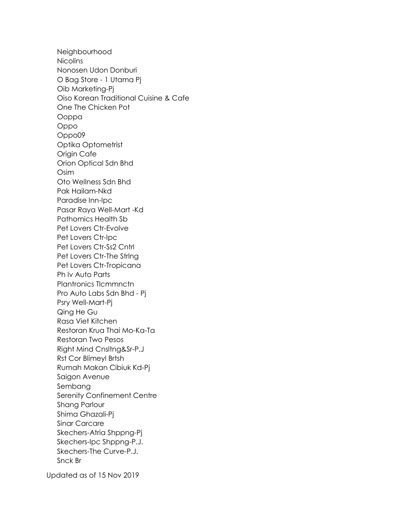Neighbourhood **Nicolins** Nonosen Udon Donburi O Bag Store - 1 Utama Pj Oib Marketing-Pj Oiso Korean Traditional Cuisine & Cafe One The Chicken Pot Ooppa Oppo Oppo09 Optika Optometrist Origin Cafe Orion Optical Sdn Bhd Osim Oto Wellness Sdn Bhd Pak Hailam-Nkd Paradise Inn-Ipc Pasar Raya Well-Mart -Kd Pathomics Health Sb Pet Lovers Ctr-Evolve Pet Lovers Ctr-Ipc Pet Lovers Ctr-Ss2 Cntrl Pet Lovers Ctr-The Strlng Pet Lovers Ctr-Tropicana Ph Iv Auto Parts Plantronics Tlcmmnctn Pro Auto Labs Sdn Bhd - Pj Psry Well-Mart-Pj Qing He Gu Rasa Viet Kitchen Restoran Krua Thai Mo-Ka-Ta Restoran Two Pesos Right Mind Cnsltng&Sr-P.J Rst Cor Blimeyl Brtsh Rumah Makan Cibiuk Kd-Pj Saigon Avenue Sembang Serenity Confinement Centre Shang Parlour Shima Ghazali-Pj Sinar Carcare Skechers-Atria Shppng-Pj Skechers-Ipc Shppng-P.J. Skechers-The Curve-P.J. Snck Br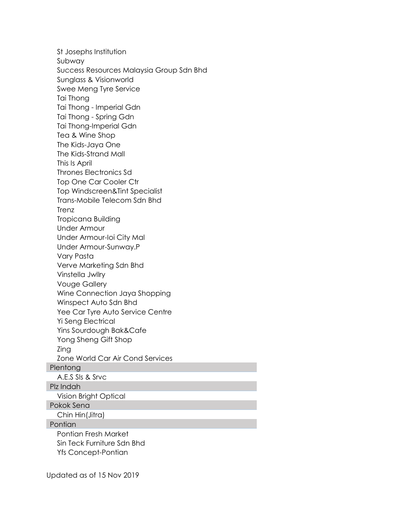St Josephs Institution Subway Success Resources Malaysia Group Sdn Bhd Sunglass & Visionworld Swee Meng Tyre Service Tai Thong Tai Thong - Imperial Gdn Tai Thong - Spring Gdn Tai Thong-Imperial Gdn Tea & Wine Shop The Kids-Jaya One The Kids-Strand Mall This Is April Thrones Electronics Sd Top One Car Cooler Ctr Top Windscreen&Tint Specialist Trans-Mobile Telecom Sdn Bhd **Trenz** Tropicana Building Under Armour Under Armour-Ioi City Mal Under Armour-Sunway.P Vary Pasta Verve Marketing Sdn Bhd Vinstella Jwllry Vouge Gallery Wine Connection Jaya Shopping Winspect Auto Sdn Bhd Yee Car Tyre Auto Service Centre Yi Seng Electrical Yins Sourdough Bak&Cafe Yong Sheng Gift Shop Zing Zone World Car Air Cond Services Plentong A.E.S Sls & Srvc Plz Indah Vision Bright Optical Pokok Sena Chin Hin(Jitra) **Pontian** Pontian Fresh Market Sin Teck Furniture Sdn Bhd Yfs Concept-Pontian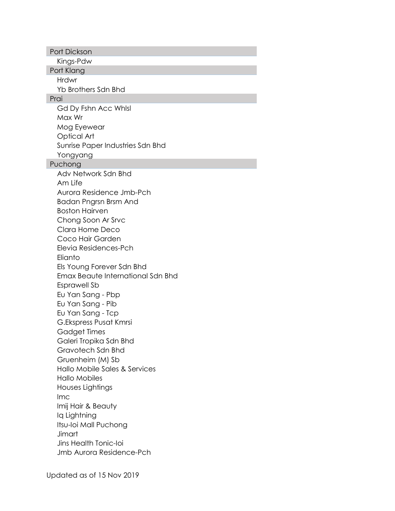| Port Dickson                                   |  |
|------------------------------------------------|--|
| Kings-Pdw                                      |  |
| Port Klang                                     |  |
| <b>Hrdwr</b>                                   |  |
| Yb Brothers Sdn Bhd                            |  |
| Prai                                           |  |
| Gd Dy Fshn Acc Whisi                           |  |
| Max Wr                                         |  |
| Mog Eyewear                                    |  |
| <b>Optical Art</b>                             |  |
| Sunrise Paper Industries Sdn Bhd               |  |
| Yongyang                                       |  |
| Puchong                                        |  |
| Adv Network Sdn Bhd                            |  |
| Am Life                                        |  |
| Aurora Residence Jmb-Pch                       |  |
| Badan Pngrsn Brsm And<br><b>Boston Hairven</b> |  |
|                                                |  |
| Chong Soon Ar Srvc<br>Clara Home Deco          |  |
| Coco Hair Garden                               |  |
| Elevia Residences-Pch                          |  |
| Elianto                                        |  |
| Els Young Forever Sdn Bhd                      |  |
| Emax Beaute International Sdn Bhd              |  |
| <b>Esprawell Sb</b>                            |  |
| Eu Yan Sang - Pbp                              |  |
| Eu Yan Sang - Pib                              |  |
| Eu Yan Sang - Tcp                              |  |
| G.Ekspress Pusat Kmrsi                         |  |
| Gadget Times                                   |  |
| Galeri Tropika Sdn Bhd                         |  |
| Gravotech Sdn Bhd                              |  |
| Gruenheim (M) Sb                               |  |
| Hallo Mobile Sales & Services                  |  |
| <b>Hallo Mobiles</b>                           |  |
| Houses Lightings                               |  |
| Imc                                            |  |
| Imij Hair & Beauty                             |  |
| Iq Lightning                                   |  |
| Itsu-Ioi Mall Puchong<br>Jimart                |  |
| Jins Health Tonic-loi                          |  |
| <b>Jmb Aurora Residence-Pch</b>                |  |
|                                                |  |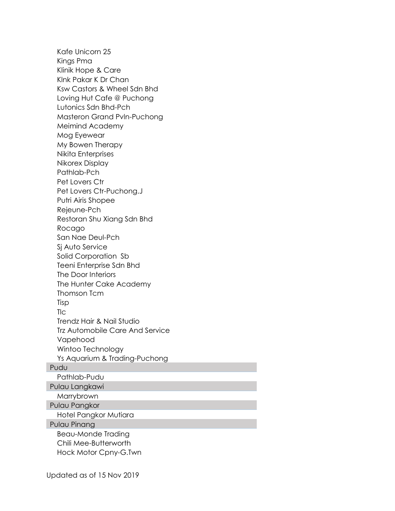Kafe Unicorn 25 Kings Pma Klinik Hope & Care Klnk Pakar K Dr Chan Ksw Castors & Wheel Sdn Bhd Loving Hut Cafe @ Puchong Lutonics Sdn Bhd-Pch Masteron Grand Pvln-Puchong Meimind Academy Mog Eyewear My Bowen Therapy Nikita Enterprises Nikorex Display Pathlab-Pch Pet Lovers Ctr Pet Lovers Ctr-Puchong.J Putri Airis Shopee Rejeune-Pch Restoran Shu Xiang Sdn Bhd Rocago San Nae Deul-Pch Sj Auto Service Solid Corporation Sb Teeni Enterprise Sdn Bhd The Door Interiors The Hunter Cake Academy Thomson Tcm Tisp Tlc Trendz Hair & Nail Studio Trz Automobile Care And Service Vapehood Wintoo Technology Ys Aquarium & Trading-Puchong Pudu Pathlab-Pudu Pulau Langkawi Marrybrown Pulau Pangkor Hotel Pangkor Mutiara Pulau Pinang Beau-Monde Trading Chili Mee-Butterworth Hock Motor Cpny-G.Twn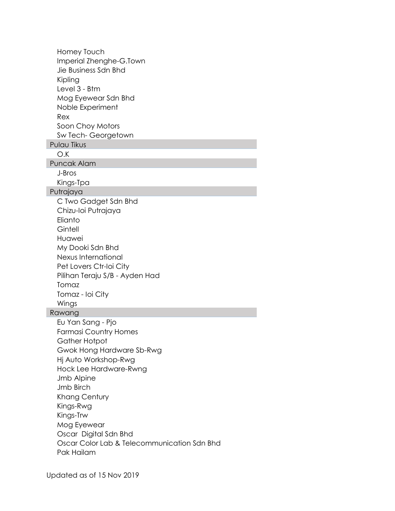Homey Touch Imperial Zhenghe-G.Town Jie Business Sdn Bhd Kipling Level 3 - Btm Mog Eyewear Sdn Bhd Noble Experiment Rex Soon Choy Motors Sw Tech- Georgetown Pulau Tikus O.K Puncak Alam J-Bros Kings-Tpa Putrajaya C Two Gadget Sdn Bhd Chizu-Ioi Putrajaya **Elianto Gintell** Huawei My Dooki Sdn Bhd Nexus International Pet Lovers Ctr-Ioi City Pilihan Teraju S/B - Ayden Had Tomaz Tomaz - Ioi City Wings Rawang Eu Yan Sang - Pjo Farmasi Country Homes Gather Hotpot Gwok Hong Hardware Sb-Rwg Hj Auto Workshop-Rwg Hock Lee Hardware-Rwng Jmb Alpine Jmb Birch Khang Century Kings-Rwg Kings-Trw Mog Eyewear Oscar Digital Sdn Bhd Oscar Color Lab & Telecommunication Sdn Bhd Pak Hailam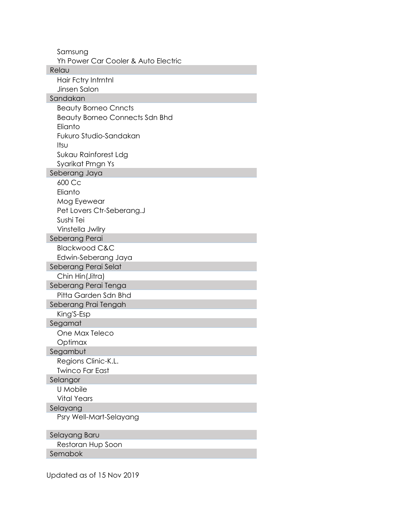| Samsung<br>Yh Power Car Cooler & Auto Electric |
|------------------------------------------------|
| Relau                                          |
| Hair Fctry Intrntnl                            |
| Jinsen Salon                                   |
| Sandakan                                       |
| <b>Beauty Borneo Cnncts</b>                    |
| <b>Beauty Borneo Connects Sdn Bhd</b>          |
| Elianto                                        |
| Fukuro Studio-Sandakan                         |
| Itsu                                           |
| Sukau Rainforest Ldg                           |
| Syarikat Prngn Ys                              |
| Seberang Jaya                                  |
| 600 Cc                                         |
| Elianto                                        |
| Mog Eyewear                                    |
| Pet Lovers Ctr-Seberang.J                      |
| Sushi Tei                                      |
| Vinstella Jwllry                               |
| Seberang Perai                                 |
| <b>Blackwood C&amp;C</b>                       |
| Edwin-Seberang Jaya                            |
| Seberang Perai Selat                           |
| Chin Hin(Jitra)                                |
| Seberang Perai Tenga                           |
| Pitta Garden Sdn Bhd                           |
| Seberang Prai Tengah                           |
| King'S-Esp                                     |
| Segamat                                        |
| One Max Teleco                                 |
| Optimax                                        |
| Segambut                                       |
| Regions Clinic-K.L.                            |
| <b>Twinco Far East</b>                         |
| Selangor                                       |
| U Mobile                                       |
| <b>Vital Years</b>                             |
| Selayang                                       |
| Psry Well-Mart-Selayang                        |
| Selayang Baru                                  |
| Restoran Hup Soon                              |
| Semabok                                        |
|                                                |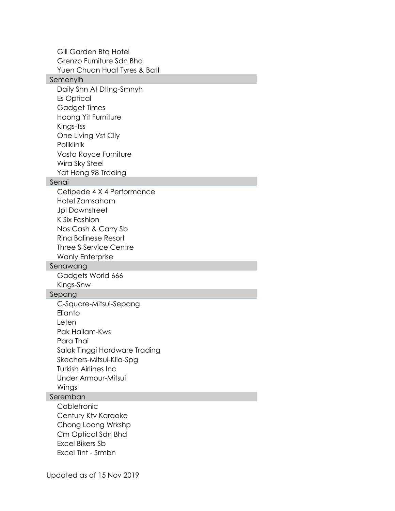Gill Garden Btq Hotel Grenzo Furniture Sdn Bhd Yuen Chuan Huat Tyres & Batt Semenyih Daily Shn At Dtlng-Smnyh Es Optical Gadget Times Hoong Yit Furniture Kings-Tss One Living Vst Clly Poliklinik Vasto Royce Furniture Wira Sky Steel Yat Heng 98 Trading Senai Cetipede 4 X 4 Performance Hotel Zamsaham Jpl Downstreet K Six Fashion Nbs Cash & Carry Sb Rina Balinese Resort Three S Service Centre Wanly Enterprise Senawang Gadgets World 666 Kings-Snw Sepang C-Square-Mitsui-Sepang **Elianto** Leten Pak Hailam-Kws Para Thai Salak Tinggi Hardware Trading Skechers-Mitsui-Klia-Spg Turkish Airlines Inc Under Armour-Mitsui Wings Seremban **Cabletronic** Century Ktv Karaoke Chong Loong Wrkshp Cm Optical Sdn Bhd Excel Bikers Sb Excel Tint - Srmbn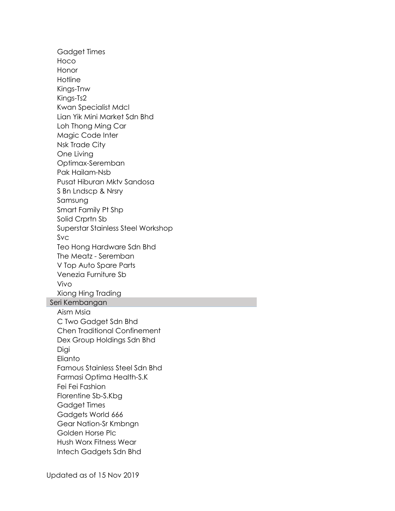Gadget Times Hoco Honor **Hotline** Kings-Tnw Kings-Ts2 Kwan Specialist Mdcl Lian Yik Mini Market Sdn Bhd Loh Thong Ming Car Magic Code Inter Nsk Trade City One Living Optimax-Seremban Pak Hailam-Nsb Pusat Hiburan Mktv Sandosa S Bn Lndscp & Nrsry Samsung Smart Family Pt Shp Solid Crprtn Sb Superstar Stainless Steel Workshop Svc Teo Hong Hardware Sdn Bhd The Meatz - Seremban V Top Auto Spare Parts Venezia Furniture Sb Vivo Xiong Hing Trading Seri Kembangan Aism Msia C Two Gadget Sdn Bhd Chen Traditional Confinement Dex Group Holdings Sdn Bhd **Digi** Elianto Famous Stainless Steel Sdn Bhd Farmasi Optima Health-S.K Fei Fei Fashion Florentine Sb-S.Kbg Gadget Times Gadgets World 666 Gear Nation-Sr Kmbngn Golden Horse Plc Hush Worx Fitness Wear Intech Gadgets Sdn Bhd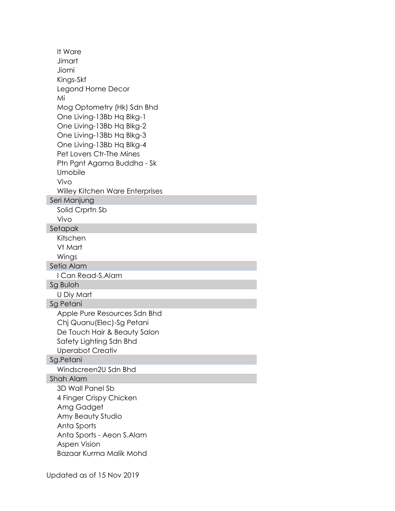It Ware Jimart Jiomi Kings-Skf Legond Home Decor Mi Mog Optometry (Hk) Sdn Bhd One Living-13Bb Hq Blkg-1 One Living-13Bb Hq Blkg-2 One Living-13Bb Hq Blkg-3 One Living-13Bb Hq Blkg-4 Pet Lovers Ctr-The Mines Ptn Pgnt Agama Buddha - Sk Umobile Vivo Willey Kitchen Ware Enterprises Seri Manjung Solid Crprtn Sb Vivo Setapak Kitschen Vt Mart Wings Setia Alam I Can Read-S.Alam Sg Buloh U Diy Mart Sg Petani Apple Pure Resources Sdn Bhd Chj Quanu(Elec)-Sg Petani De Touch Hair & Beauty Salon Safety Lighting Sdn Bhd Uperabot Creativ Sg.Petani Windscreen2U Sdn Bhd Shah Alam 3D Wall Panel Sb 4 Finger Crispy Chicken Amg Gadget Amy Beauty Studio Anta Sports Anta Sports - Aeon S.Alam Aspen Vision Bazaar Kurma Malik Mohd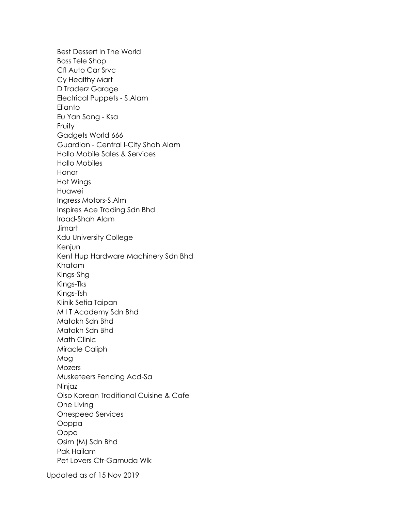Best Dessert In The World Boss Tele Shop Cfl Auto Car Srvc Cy Healthy Mart D Traderz Garage Electrical Puppets - S.Alam Elianto Eu Yan Sang - Ksa Fruity Gadgets World 666 Guardian - Central I-City Shah Alam Hallo Mobile Sales & Services Hallo Mobiles Honor Hot Wings Huawei Ingress Motors-S.Alm Inspires Ace Trading Sdn Bhd Iroad-Shah Alam **Jimart** Kdu University College Kenjun Kent Hup Hardware Machinery Sdn Bhd Khatam Kings-Shg Kings-Tks Kings-Tsh Klinik Setia Taipan M I T Academy Sdn Bhd Matakh Sdn Bhd Matakh Sdn Bhd Math Clinic Miracle Caliph Mog **Mozers** Musketeers Fencing Acd-Sa Ninjaz Oiso Korean Traditional Cuisine & Cafe One Living Onespeed Services Ooppa Oppo Osim (M) Sdn Bhd Pak Hailam Pet Lovers Ctr-Gamuda Wlk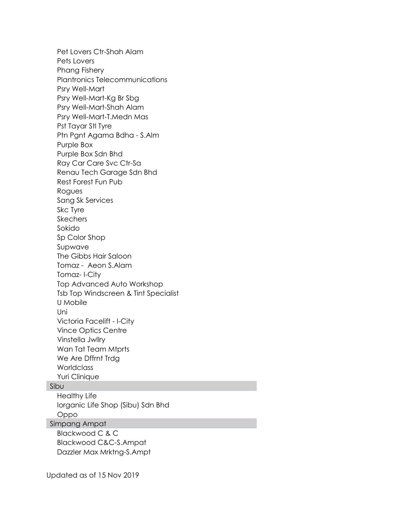Pet Lovers Ctr-Shah Alam Pets Lovers Phang Fishery Plantronics Telecommunications Psry Well-Mart Psry Well-Mart-Kg Br Sbg Psry Well-Mart-Shah Alam Psry Well-Mart-T.Medn Mas Pst Tayar Stl Tyre Ptn Pgnt Agama Bdha - S.Alm Purple Box Purple Box Sdn Bhd Ray Car Care Svc Ctr-Sa Renau Tech Garage Sdn Bhd Rest Forest Fun Pub Rogues Sang Sk Services Skc Tyre **Skechers** Sokido Sp Color Shop Supwave The Gibbs Hair Saloon Tomaz - Aeon S.Alam Tomaz- I-City Top Advanced Auto Workshop Tsb Top Windscreen & Tint Specialist U Mobile Uni Victoria Facelift - I-City Vince Optics Centre Vinstella Jwllry Wan Tat Team Mtprts We Are Dffrnt Trdg **Worldclass** Yuri Clinique Sibu Healthy Life Iorganic Life Shop (Sibu) Sdn Bhd Oppo Simpang Ampat Blackwood C & C

Blackwood C&C-S.Ampat Dazzler Max Mrktng-S.Ampt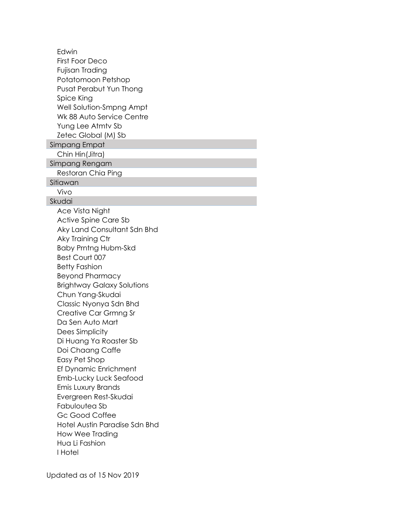Edwin First Foor Deco Fujisan Trading Potatomoon Petshop Pusat Perabut Yun Thong Spice King Well Solution-Smpng Ampt Wk 88 Auto Service Centre Yung Lee Atmtv Sb Zetec Global (M) Sb Simpang Empat Chin Hin(Jitra) Simpang Rengam Restoran Chia Ping Sitiawan Vivo Skudai Ace Vista Night Active Spine Care Sb Aky Land Consultant Sdn Bhd Aky Training Ctr Baby Prntng Hubm-Skd Best Court 007 Betty Fashion Beyond Pharmacy Brightway Galaxy Solutions Chun Yang-Skudai Classic Nyonya Sdn Bhd Creative Car Grmng Sr Da Sen Auto Mart Dees Simplicity Di Huang Ya Roaster Sb Doi Chaang Caffe Easy Pet Shop Ef Dynamic Enrichment Emb-Lucky Luck Seafood Emis Luxury Brands Evergreen Rest-Skudai Fabuloutea Sb Gc Good Coffee Hotel Austin Paradise Sdn Bhd How Wee Trading Hua Li Fashion I Hotel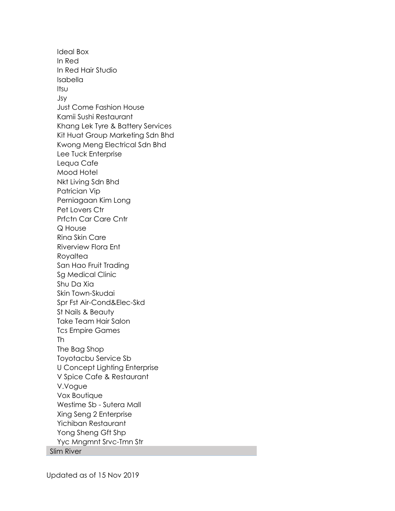Ideal Box In Red In Red Hair Studio Isabella Itsu Jsy Just Come Fashion House Kamii Sushi Restaurant Khang Lek Tyre & Battery Services Kit Huat Group Marketing Sdn Bhd Kwong Meng Electrical Sdn Bhd Lee Tuck Enterprise Lequa Cafe Mood Hotel Nkt Living Sdn Bhd Patrician Vip Perniagaan Kim Long Pet Lovers Ctr Prfctn Car Care Cntr Q House Rina Skin Care Riverview Flora Ent Royaltea San Hao Fruit Trading Sg Medical Clinic Shu Da Xia Skin Town-Skudai Spr Fst Air-Cond&Elec-Skd St Nails & Beauty Take Team Hair Salon Tcs Empire Games Th The Bag Shop Toyotacbu Service Sb U Concept Lighting Enterprise V Spice Cafe & Restaurant V.Vogue Vox Boutique Westime Sb - Sutera Mall Xing Seng 2 Enterprise Yichiban Restaurant Yong Sheng Gft Shp Yyc Mngmnt Srvc-Tmn Str Slim River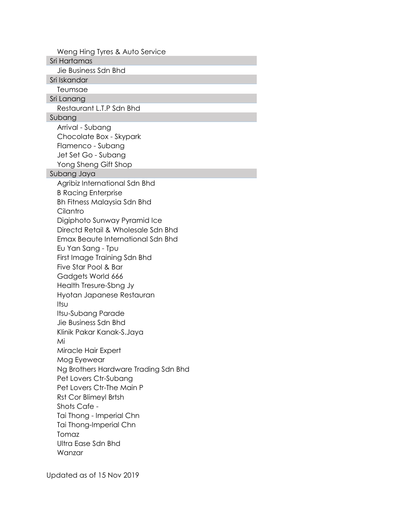Weng Hing Tyres & Auto Service Sri Hartamas Jie Business Sdn Bhd Sri Iskandar Teumsae Sri Lanang Restaurant L.T.P Sdn Bhd Subang Arrival - Subang Chocolate Box - Skypark Flamenco - Subang Jet Set Go - Subang Yong Sheng Gift Shop Subang Jaya Agribiz International Sdn Bhd B Racing Enterprise Bh Fitness Malaysia Sdn Bhd **Cilantro** Digiphoto Sunway Pyramid Ice Directd Retail & Wholesale Sdn Bhd Emax Beaute International Sdn Bhd Eu Yan Sang - Tpu First Image Training Sdn Bhd Five Star Pool & Bar Gadgets World 666 Health Tresure-Sbng Jy Hyotan Japanese Restauran Itsu Itsu-Subang Parade Jie Business Sdn Bhd Klinik Pakar Kanak-S.Jaya Mi Miracle Hair Expert Mog Eyewear Ng Brothers Hardware Trading Sdn Bhd Pet Lovers Ctr-Subang Pet Lovers Ctr-The Main P Rst Cor Blimeyl Brtsh Shots Cafe - Tai Thong - Imperial Chn Tai Thong-Imperial Chn Tomaz Ultra Ease Sdn Bhd Wanzar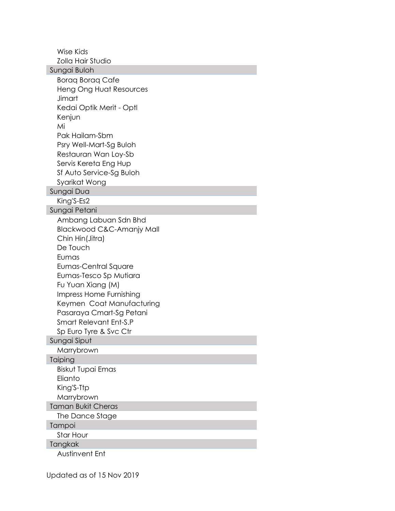Wise Kids Zolla Hair Studio Sungai Buloh Boraq Boraq Cafe Heng Ong Huat Resources **Jimart** Kedai Optik Merit - Optl Kenjun Mi Pak Hailam-Sbm Psry Well-Mart-Sg Buloh Restauran Wan Loy-Sb Servis Kereta Eng Hup Sf Auto Service-Sg Buloh Syarikat Wong Sungai Dua King'S-Es2 Sungai Petani Ambang Labuan Sdn Bhd Blackwood C&C-Amanjy Mall Chin Hin(Jitra) De Touch Eumas Eumas-Central Square Eumas-Tesco Sp Mutiara Fu Yuan Xiang (M) Impress Home Furnishing Keymen Coat Manufacturing Pasaraya Cmart-Sg Petani Smart Relevant Ent-S.P Sp Euro Tyre & Svc Ctr Sungai Siput Marrybrown Taiping Biskut Tupai Emas Elianto King'S-Ttp **Marrybrown** Taman Bukit Cheras The Dance Stage Tampoi Star Hour Tangkak Austinvent Ent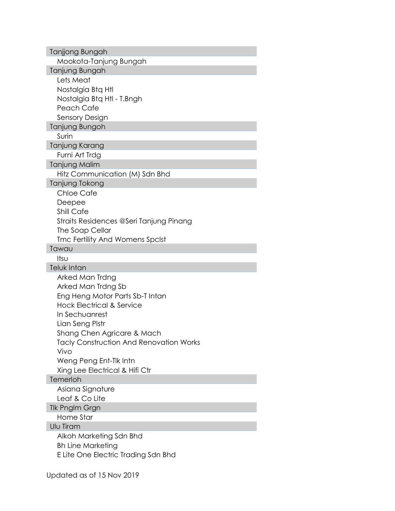| Tanjjong Bungah                                |
|------------------------------------------------|
| Mookota-Tanjung Bungah                         |
| Tanjung Bungah                                 |
| Lets Meat                                      |
| Nostalgia Btg Htl                              |
| Nostalgia Btq Htl - T.Bngh                     |
| Peach Cafe                                     |
| Sensory Design                                 |
| Tanjung Bungoh                                 |
| Surin                                          |
| Tanjung Karang                                 |
| Furni Art Trdg                                 |
| Tanjung Malim                                  |
| Hitz Communication (M) Sdn Bhd                 |
| Tanjung Tokong                                 |
| <b>Chloe Cafe</b>                              |
| Deepee                                         |
| Shill Cafe                                     |
| Straits Residences @Seri Tanjung Pinang        |
| The Soap Cellar                                |
| Tmc Fertility And Womens Spclst                |
| Tawau                                          |
| Itsu                                           |
| Teluk Intan                                    |
| Arked Man Trdng                                |
| Arked Man Trdng Sb                             |
| Eng Heng Motor Parts Sb-T Intan                |
| <b>Hock Electrical &amp; Service</b>           |
| In Sechuanrest                                 |
|                                                |
| Lian Seng Plstr                                |
| Shang Chen Agricare & Mach                     |
| <b>Tacly Construction And Renovation Works</b> |
| Vivo                                           |
| Weng Peng Ent-Tik Intn                         |
| Xing Lee Electrical & Hifi Ctr                 |
| Temerloh                                       |
| Asiana Signature                               |
| Leaf & Co Lite                                 |
| Tlk Pnglm Grgn                                 |
| Home Star                                      |
| Ulu Tiram                                      |
| Alkoh Marketing Sdn Bhd                        |
| <b>Bh Line Marketing</b>                       |
| E Lite One Electric Trading Sdn Bhd            |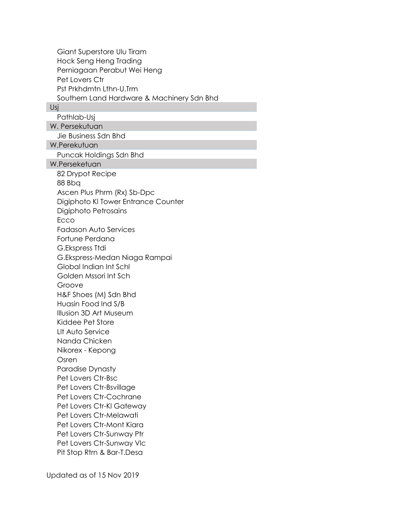Giant Superstore Ulu Tiram Hock Seng Heng Trading Perniagaan Perabut Wei Heng Pet Lovers Ctr Pst Prkhdmtn Lthn-U.Trm Southern Land Hardware & Machinery Sdn Bhd

#### Usj

Pathlab-Usj

W. Persekutuan

Jie Business Sdn Bhd

W.Perekutuan

Puncak Holdings Sdn Bhd

W.Perseketuan

82 Drypot Recipe 88 Bbq Ascen Plus Phrm (Rx) Sb-Dpc Digiphoto Kl Tower Entrance Counter Digiphoto Petrosains Ecco Fadason Auto Services Fortune Perdana G.Ekspress Ttdi G.Ekspress-Medan Niaga Rampai Global Indian Int Schl Golden Mssori Int Sch Groove H&F Shoes (M) Sdn Bhd Huasin Food Ind S/B Illusion 3D Art Museum Kiddee Pet Store Llt Auto Service Nanda Chicken Nikorex - Kepong Osren Paradise Dynasty Pet Lovers Ctr-Bsc Pet Lovers Ctr-Bsvillage Pet Lovers Ctr-Cochrane Pet Lovers Ctr-Kl Gateway Pet Lovers Ctr-Melawati Pet Lovers Ctr-Mont Kiara Pet Lovers Ctr-Sunway Ptr Pet Lovers Ctr-Sunway Vlc Pit Stop Rtrn & Bar-T.Desa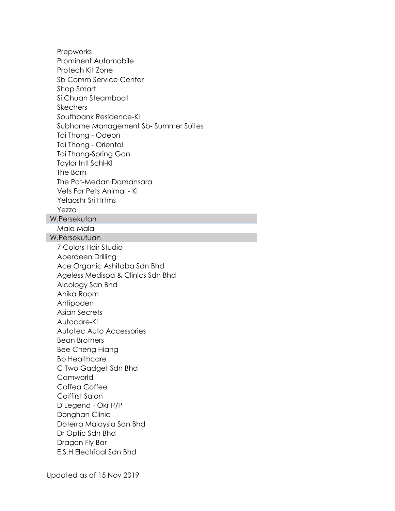Prepworks Prominent Automobile Protech Kit Zone Sb Comm Service Center Shop Smart Si Chuan Steamboat **Skechers** Southbank Residence-Kl Subhome Management Sb- Summer Suites Tai Thong - Odeon Tai Thong - Oriental Tai Thong-Spring Gdn Taylor Intl Schl-Kl The Barn The Pot-Medan Damansara Vets For Pets Animal - Kl Yelaoshr Sri Hrtms Yezzo W.Persekutan Mala Mala W.Persekutuan 7 Colors Hair Studio Aberdeen Drilling Ace Organic Ashitaba Sdn Bhd Ageless Medispa & Clinics Sdn Bhd Alcology Sdn Bhd Anika Room Antipoden Asian Secrets Autocare-Kl Autotec Auto Accessories Bean Brothers Bee Cheng Hiang Bp Healthcare C Two Gadget Sdn Bhd Camworld Coffea Coffee Coiffirst Salon D Legend - Okr P/P Donghan Clinic Doterra Malaysia Sdn Bhd Dr Optic Sdn Bhd Dragon Fly Bar E.S.H Electrical Sdn Bhd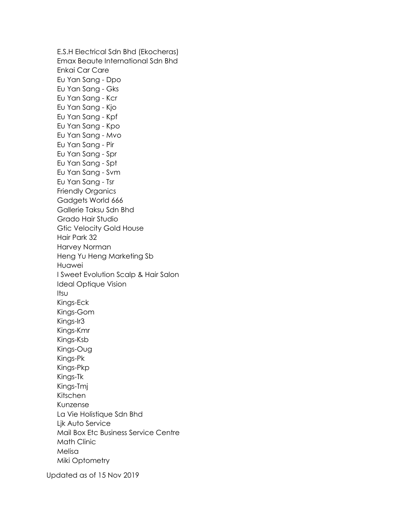E.S.H Electrical Sdn Bhd (Ekocheras) Emax Beaute International Sdn Bhd Enkai Car Care Eu Yan Sang - Dpo Eu Yan Sang - Gks Eu Yan Sang - Kcr Eu Yan Sang - Kjo Eu Yan Sang - Kpf Eu Yan Sang - Kpo Eu Yan Sang - Mvo Eu Yan Sang - Pir Eu Yan Sang - Spr Eu Yan Sang - Spt Eu Yan Sang - Svm Eu Yan Sang - Tsr Friendly Organics Gadgets World 666 Gallerie Taksu Sdn Bhd Grado Hair Studio Gtic Velocity Gold House Hair Park 32 Harvey Norman Heng Yu Heng Marketing Sb Huawei I Sweet Evolution Scalp & Hair Salon Ideal Optique Vision Itsu Kings-Eck Kings-Gom Kings-Ir3 Kings-Kmr Kings-Ksb Kings-Oug Kings-Pk Kings-Pkp Kings-Tk Kings-Tmj Kitschen Kunzense La Vie Holistique Sdn Bhd Ljk Auto Service Mail Box Etc Business Service Centre Math Clinic Melisa Miki Optometry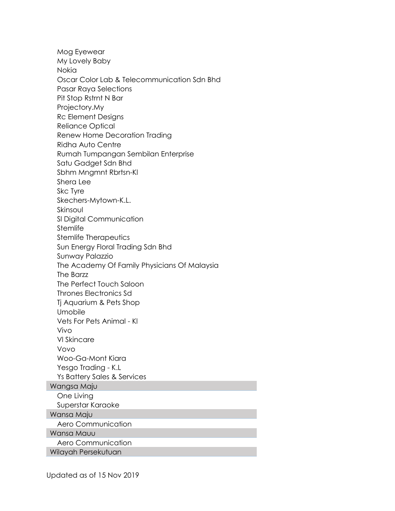Mog Eyewear My Lovely Baby Nokia Oscar Color Lab & Telecommunication Sdn Bhd Pasar Raya Selections Pit Stop Rstrnt N Bar Projectory.My Rc Element Designs Reliance Optical Renew Home Decoration Trading Ridha Auto Centre Rumah Tumpangan Sembilan Enterprise Satu Gadget Sdn Bhd Sbhm Mngmnt Rbrtsn-Kl Shera Lee Skc Tyre Skechers-Mytown-K.L. Skinsoul Sl Digital Communication **Stemlife** Stemlife Therapeutics Sun Energy Floral Trading Sdn Bhd Sunway Palazzio The Academy Of Family Physicians Of Malaysia The Barzz The Perfect Touch Saloon Thrones Electronics Sd Tj Aquarium & Pets Shop Umobile Vets For Pets Animal - Kl Vivo Vl Skincare Vovo Woo-Ga-Mont Kiara Yesgo Trading - K.L Ys Battery Sales & Services Wangsa Maju One Living Superstar Karaoke Wansa Maju Aero Communication Wansa Mauu Aero Communication Wilayah Persekutuan